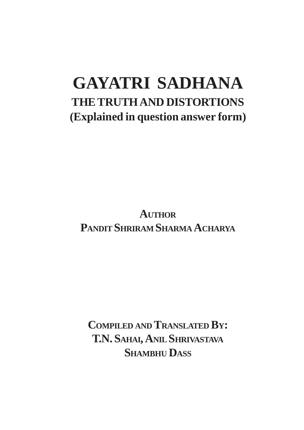# **GAYATRI SADHANA THE TRUTH AND DISTORTIONS (Explained in question answer form)**

**AUTHOR PANDIT SHRIRAM SHARMA ACHARYA**

**COMPILED AND TRANSLATED BY: T.N. SAHAI, ANIL SHRIVASTAVA SHAMBHU DASS**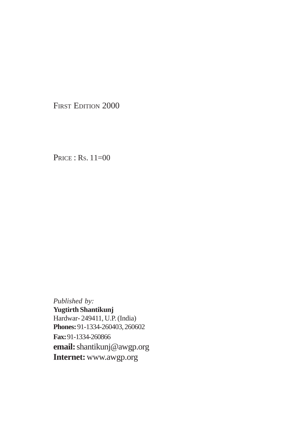FIRST EDITION 2000

PRICE : RS. 11=00

*Published by:* **Yugtirth Shantikunj** Hardwar- 249411, U.P. (India) **Phones:** 91-1334-260403, 260602 **Fax:** 91-1334-260866 **email:** shantikunj@awgp.org **Internet:** www.awgp.org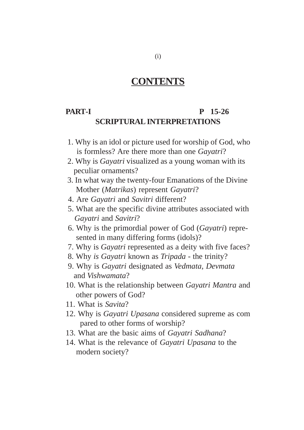# **CONTENTS**

#### **PART-I** P 15-26 **SCRIPTURAL INTERPRETATIONS**

- 1. Why is an idol or picture used for worship of God, who is formless? Are there more than one *Gayatri*?
- 2. Why is *Gayatri* visualized as a young woman with its peculiar ornaments?
- 3. In what way the twenty-four Emanations of the Divine Mother (*Matrikas*) represent *Gayatri*?
- 4. Are *Gayatri* and *Savitri* different?
- 5. What are the specific divine attributes associated with  *Gayatri* and *Savitri*?
- 6. Why is the primordial power of God (*Gayatri*) repre sented in many differing forms (idols)?
- 7. Why is *Gayatri* represented as a deity with five faces?
- 8. Why *is Gayatri* known as *Tripada*  the trinity?
- 9. Why is *Gayatri* designated as *Vedmata, Devmata* and *Vishwamata*?
- 10. What is the relationship between *Gayatri Mantra* and other powers of God?
- 11. What is *Savita*?
- 12. Why is *Gayatri Upasana* considered supreme as com pared to other forms of worship?
- 13. What are the basic aims of *Gayatri Sadhana*?
- 14. What is the relevance of *Gayatri Upasana* to the modern society?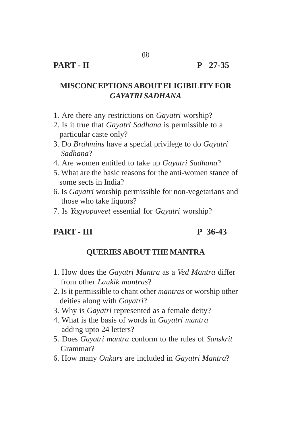# **MISCONCEPTIONS ABOUT ELIGIBILITY FOR** *GAYATRI SADHANA*

(ii)

- 1. Are there any restrictions on *Gayatri* worship?
- 2. Is it true that *Gayatri Sadhana* is permissible to a particular caste only?
- 3. Do *Brahmins* have a special privilege to do *Gayatri Sadhana*?
- 4. Are women entitled to take up *Gayatri Sadhana*?
- 5. What are the basic reasons for the anti-women stance of some sects in India?
- 6. Is *Gayatri* worship permissible for non-vegetarians and those who take liquors?
- 7. Is *Yagyopaveet* essential for *Gayatri* worship?

# **PART - III P 36-43**

#### **QUERIES ABOUT THE MANTRA**

- 1. How does the *Gayatri Mantra* as a *Ved Mantra* differ from other *Laukik mantras*?
- 2. Is it permissible to chant other *mantras* or worship other deities along with *Gayatri*?
- 3. Why is *Gayatri* represented as a female deity?
- 4. What is the basis of words in *Gayatri mantra* adding upto 24 letters?
- 5. Does *Gayatri mantra* conform to the rules of *Sanskrit* Grammar?
- 6. How many *Onkars* are included in *Gayatri Mantra*?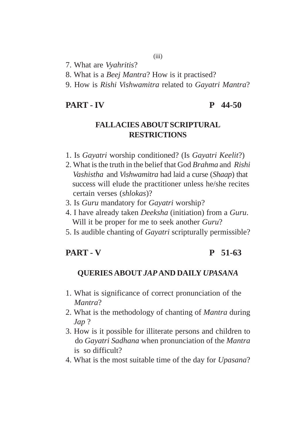7. What are *Vyahritis*?

- 8. What is a *Beej Mantra*? How is it practised?
- 9. How is *Rishi Vishwamitra* related to *Gayatri Mantra*?

#### **PART - IV P 44-50**

#### **FALLACIES ABOUT SCRIPTURAL RESTRICTIONS**

- 1. Is *Gayatri* worship conditioned? (Is *Gayatri Keelit*?)
- 2. What is the truth in the belief that God *Brahma* and *Rishi Vashistha* and *Vishwamitra* had laid a curse (*Shaap*) that success will elude the practitioner unless he/she recites certain verses (*shlokas*)?
- 3. Is *Guru* mandatory for *Gayatri* worship?
- 4. I have already taken *Deeksha* (initiation) from a *Guru*. Will it be proper for me to seek another *Guru*?
- 5. Is audible chanting of *Gayatri* scripturally permissible?

#### **PART - V P 51-63**

#### **QUERIES ABOUT** *JAP* **AND DAILY** *UPASANA*

- 1. What is significance of correct pronunciation of the  *Mantra*?
- 2. What is the methodology of chanting of *Mantra* during  *Jap* ?
- 3. How is it possible for illiterate persons and children to do *Gayatri Sadhana* when pronunciation of the *Mantra* is so difficult?
- 4. What is the most suitable time of the day for *Upasana*?

#### (iii)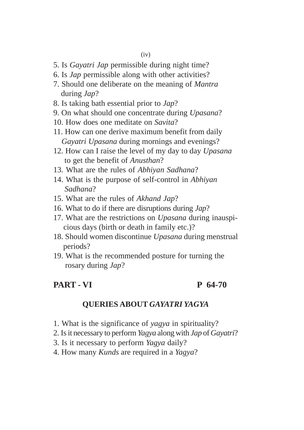- 5. Is *Gayatri Jap* permissible during night time?
- 6. Is *Jap* permissible along with other activities?
- 7. Should one deliberate on the meaning of *Mantra* during *Jap*?
- 8. Is taking bath essential prior to *Jap*?
- 9. On what should one concentrate during *Upasana*?
- 10. How does one meditate on *Savita*?
- 11. How can one derive maximum benefit from daily  *Gayatri Upasana* during mornings and evenings?
- 12. How can I raise the level of my day to day *Upasana* to get the benefit of *Anusthan*?
- 13. What are the rules of *Abhiyan Sadhana*?
- 14. What is the purpose of self-control in *Abhiyan Sadhana*?
- 15. What are the rules of *Akhand Jap*?
- 16. What to do if there are disruptions during *Jap*?
- 17. What are the restrictions on *Upasana* during inauspi cious days (birth or death in family etc.)?
- 18. Should women discontinue *Upasana* during menstrual periods?
- 19. What is the recommended posture for turning the rosary during *Jap*?

#### **PART - VI P 64-70**

#### **QUERIES ABOUT** *GAYATRI YAGYA*

- 1. What is the significance of *yagya* in spirituality?
- 2. Is it necessary to perform *Yagya* along with *Jap* of *Gayatri*?
- 3. Is it necessary to perform *Yagya* daily?
- 4. How many *Kunds* are required in a *Yagya*?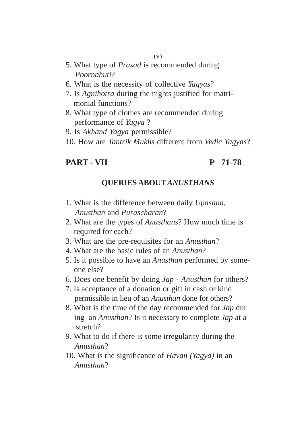- (v)
- 5. What type of *Prasad* is recommended during *Poornahuti*?
- 6. What is the necessity of collective *Yagyas*?
- 7. Is *Agnihotra* during the nights justified for matri monial functions?
- 8. What type of clothes are recommended during performance of *Yagya* ?
- 9. Is *Akhand Yagya* permissible?
- 10. How are *Tantrik Mukhs* different from *Vedic Yagyas*?

#### **PART - VII P 71-78**

#### **QUERIES ABOUT** *ANUSTHANS*

- 1. What is the difference between daily *Upasana, Anusthan* and *Purascharan*?
- 2. What are the types of *Anusthans*? How much time is required for each?
- 3. What are the pre-requisites for an *Anusthan*?
- 4. What are the basic rules of an *Anusthan*?
- 5. Is it possible to have an *Anusthan* performed by some one else?
- 6. Does one benefit by doing *Jap Anusthan* for others?
- 7. Is acceptance of a donation or gift in cash or kind permissible in lieu of an *Anusthan* done for others?
- 8. What is the time of the day recommended for *Jap* dur ing an *Anusthan*? Is it necessary to complete *Jap* at a stretch?
- 9. What to do if there is some irregularity during the  *Anusthan*?
- 10. What is the significance of *Havan (Yagya)* in an  *Anusthan*?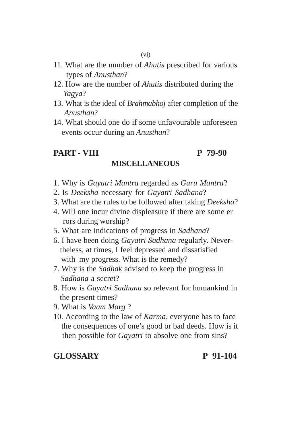- 11. What are the number of *Ahutis* prescribed for various types of *Anusthan*?
- 12. How are the number of *Ahutis* distributed during the  *Yagya*?
- 13. What is the ideal of *Brahmabhoj* after completion of the  *Anusthan*?
- 14. What should one do if some unfavourable unforeseen events occur during an *Anusthan*?

#### **PART - VIII P 79-90 MISCELLANEOUS**

- 1. Why is *Gayatri Mantra* regarded as *Guru Mantra*?
- 2. Is *Deeksha* necessary for *Gayatri Sadhana*?
- 3. What are the rules to be followed after taking *Deeksha*?
- 4. Will one incur divine displeasure if there are some er rors during worship?
- 5. What are indications of progress in *Sadhana*?
- 6. I have been doing *Gayatri Sadhana* regularly. Never theless, at times, I feel depressed and dissatisfied with my progress. What is the remedy?
- 7. Why is the *Sadhak* advised to keep the progress in  *Sadhana* a secret?
- 8. How is *Gayatri Sadhana* so relevant for humankind in the present times?
- 9. What is *Vaam Marg* ?
- 10. According to the law of *Karma*, everyone has to face the consequences of one's good or bad deeds. How is it then possible for *Gayatri* to absolve one from sins?

#### **GLOSSARY P 91-104**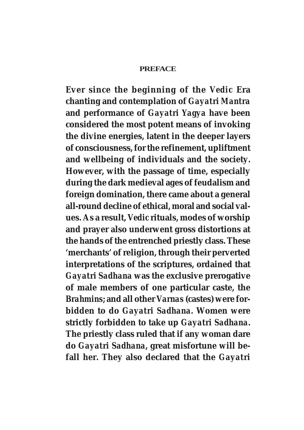#### **PREFACE**

**Ever since the beginning of the** *Vedic* **Era chanting and contemplation of** *Gayatri Mantra* **and performance of** *Gayatri Yagya* **have been considered the most potent means of invoking the divine energies, latent in the deeper layers of consciousness, for the refinement, upliftment and wellbeing of individuals and the society. However, with the passage of time, especially during the dark medieval ages of feudalism and foreign domination, there came about a general all-round decline of ethical, moral and social values. As a result,** *Vedic* **rituals, modes of worship and prayer also underwent gross distortions at the hands of the entrenched priestly class. These 'merchants' of religion, through their perverted interpretations of the scriptures, ordained that** *Gayatri Sadhana* **was the exclusive prerogative of male members of one particular caste, the** *Brahmins***; and all other** *Varnas* **(castes) were forbidden to do** *Gayatri Sadhana***. Women were strictly forbidden to take up** *Gayatri Sadhana***. The priestly class ruled that if any woman dare do** *Gayatri Sadhana***, great misfortune will befall her. They also declared that the** *Gayatri*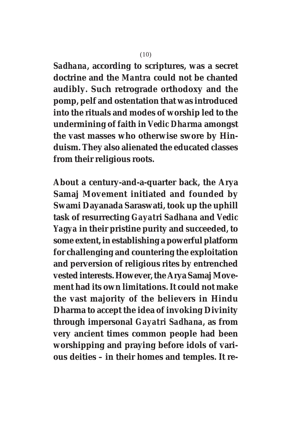*Sadhana***, according to scriptures, was a secret doctrine and the** *Mantra* **could not be chanted audibly. Such retrograde orthodoxy and the pomp, pelf and ostentation that was introduced into the rituals and modes of worship led to the undermining of faith in** *Vedic Dharma* **amongst the vast masses who otherwise swore by Hinduism. They also alienated the educated classes from their religious roots.**

**About a century-and-a-quarter back, the Arya Samaj Movement initiated and founded by Swami Dayanada Saraswati, took up the uphill task of resurrecting** *Gayatri Sadhana* **and** *Vedic Yagya* **in their pristine purity and succeeded, to some extent, in establishing a powerful platform for challenging and countering the exploitation and perversion of religious rites by entrenched vested interests. However, the Arya Samaj Movement had its own limitations. It could not make the vast majority of the believers in Hindu Dharma to accept the idea of invoking Divinity through impersonal** *Gayatri Sadhana***, as from very ancient times common people had been worshipping and praying before idols of various deities – in their homes and temples. It re-**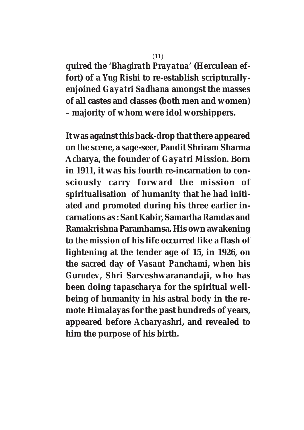# **quired the '***Bhagirath Prayatna'* **(Herculean effort) of a** *Yug Rishi* **to re-establish scripturallyenjoined** *Gayatri Sadhana* **amongst the masses of all castes and classes (both men and women) – majority of whom were idol worshippers.**

**It was against this back-drop that there appeared on the scene, a sage-seer, Pandit Shriram Sharma Acharya, the founder of** *Gayatri Mission***. Born in 1911, it was his fourth re-incarnation to consciously carry forward the mission of spiritualisation of humanity that he had initiated and promoted during his three earlier incarnations as : Sant Kabir, Samartha Ramdas and Ramakrishna Paramhamsa. His own awakening to the** *mission* **of his life occurred like a flash of lightening at the tender age of 15, in 1926, on the sacred day of** *Vasant Panchami***, when his** *Gurudev***, Shri Sarveshwaranandaji, who has been doing** *tapascharya* **for the spiritual wellbeing of humanity in his astral body in the remote Himalayas for the past hundreds of years, appeared before** *Acharyashri***, and revealed to him the purpose of his birth.**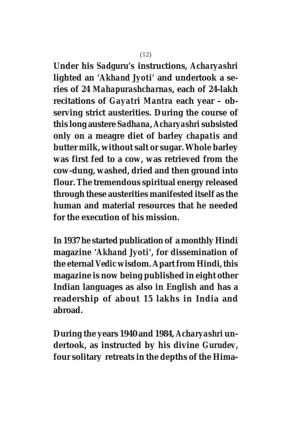**Under his** *Sadguru's* **instructions,** *Acharyashri* **lighted an '***Akhand Jyoti'* **and undertook a series of 24** *Mahapurashcharnas***, each of 24-lakh recitations of** *Gayatri Mantra* **each year – observing strict austerities. During the course of this long austere** *Sadhana***,** *Acharyashri* **subsisted only on a meagre diet of barley** *chapatis* **and butter milk, without salt or sugar. Whole barley was first fed to a cow, was retrieved from the cow-dung, washed, dried and then ground into flour. The tremendous spiritual energy released through these austerities manifested itself as the human and material resources that he needed for the execution of his mission.**

**In 1937 he started publication of a monthly Hindi magazine '***Akhand Jyoti***', for dissemination of the eternal** *Vedic* **wisdom. Apart from Hindi, this magazine is now being published in eight other Indian languages as also in English and has a readership of about 15 lakhs in India and abroad.**

**During the years 1940 and 1984,** *Acharyashri* **undertook, as instructed by his divine** *Gurudev***, four solitary retreats in the depths of the Hima-**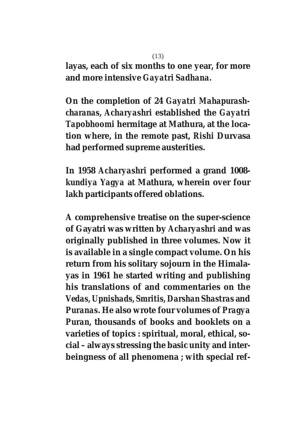**layas, each of six months to one year, for more and more intensive** *Gayatri Sadhana***.**

**On the completion of 24** *Gayatri Mahapurashcharanas***,** *Acharyashri* **established the** *Gayatri Tapobhoomi* **hermitage at Mathura, at the location where, in the remote past,** *Rishi* **Durvasa had performed supreme austerities.**

**In 1958** *Acharyashri* **performed a grand 1008** *kundiya Yagya* **at Mathura, wherein over four lakh participants offered oblations.**

**A comprehensive treatise on the super-science of Gayatri was written by** *Acharyashri* **and was originally published in three volumes. Now it is available in a single compact volume. On his return from his solitary sojourn in the Himalayas in 1961 he started writing and publishing his translations of and commentaries on the** *Vedas, Upnishads, Smritis, Darshan Shastras* **and** *Puranas***. He also wrote four volumes of** *Pragya Puran***, thousands of books and booklets on a varieties of topics : spiritual, moral, ethical, social – always stressing the basic unity and interbeingness of all phenomena ; with special ref-**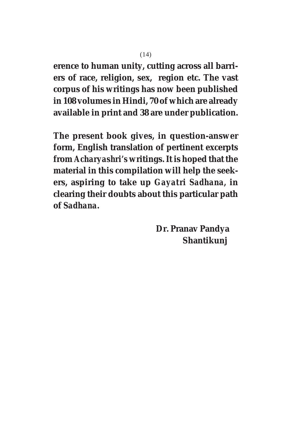**erence to human unity, cutting across all barriers of race, religion, sex, region etc. The vast corpus of his writings has now been published in 108 volumes in Hindi, 70 of which are already available in print and 38 are under publication.**

**The present book gives, in question-answer form, English translation of pertinent excerpts from** *Acharyashri's* **writings. It is hoped that the material in this compilation will help the seekers, aspiring to take up** *Gayatri Sadhana,* **in clearing their doubts about this particular path of** *Sadhana***.**

> **Dr. Pranav Pandya Shantikunj**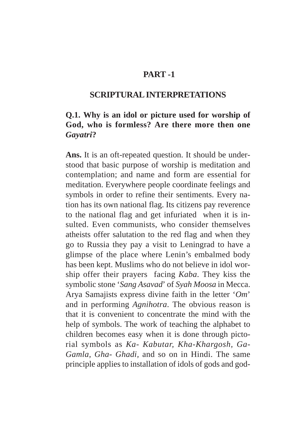### **PART -1**

#### **SCRIPTURAL INTERPRETATIONS**

# **Q.1. Why is an idol or picture used for worship of God, who is formless? Are there more then one** *Gayatri***?**

**Ans.** It is an oft-repeated question. It should be understood that basic purpose of worship is meditation and contemplation; and name and form are essential for meditation. Everywhere people coordinate feelings and symbols in order to refine their sentiments. Every nation has its own national flag. Its citizens pay reverence to the national flag and get infuriated when it is insulted. Even communists, who consider themselves atheists offer salutation to the red flag and when they go to Russia they pay a visit to Leningrad to have a glimpse of the place where Lenin's embalmed body has been kept. Muslims who do not believe in idol worship offer their prayers facing *Kaba*. They kiss the symbolic stone '*Sang Asavad*' of *Syah Moosa* in Mecca. Arya Samajists express divine faith in the letter '*Om*' and in performing *Agnihotra*. The obvious reason is that it is convenient to concentrate the mind with the help of symbols. The work of teaching the alphabet to children becomes easy when it is done through pictorial symbols as *Ka- Kabutar, Kha-Khargosh, Ga-Gamla, Gha- Ghadi,* and so on in Hindi. The same principle applies to installation of idols of gods and god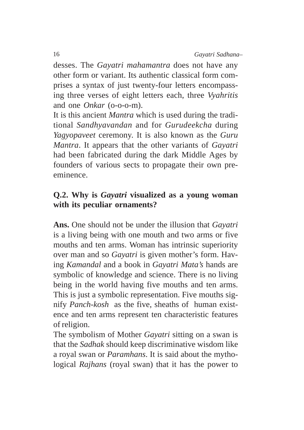desses. The *Gayatri mahamantra* does not have any other form or variant. Its authentic classical form comprises a syntax of just twenty-four letters encompassing three verses of eight letters each, three *Vyahritis* and one *Onkar* (o-o-o-m).

It is this ancient *Mantra* which is used during the traditional *Sandhyavandan* and for *Gurudeekcha* during *Yagyopaveet* ceremony. It is also known as the *Guru Mantra*. It appears that the other variants of *Gayatri* had been fabricated during the dark Middle Ages by founders of various sects to propagate their own preeminence.

## **Q.2. Why is** *Gayatri* **visualized as a young woman with its peculiar ornaments?**

**Ans.** One should not be under the illusion that *Gayatri* is a living being with one mouth and two arms or five mouths and ten arms. Woman has intrinsic superiority over man and so *Gayatri* is given mother's form. Having *Kamandal* and a book in *Gayatri Mata's* hands are symbolic of knowledge and science. There is no living being in the world having five mouths and ten arms. This is just a symbolic representation. Five mouths signify *Panch-kosh* as the five, sheaths of human existence and ten arms represent ten characteristic features of religion.

The symbolism of Mother *Gayatri* sitting on a swan is that the *Sadhak* should keep discriminative wisdom like a royal swan or *Paramhans*. It is said about the mythological *Rajhans* (royal swan) that it has the power to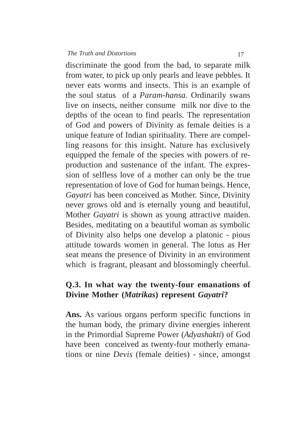discriminate the good from the bad, to separate milk from water, to pick up only pearls and leave pebbles. It never eats worms and insects. This is an example of the soul status of a *Param*-*hansa*. Ordinarily swans live on insects, neither consume milk nor dive to the depths of the ocean to find pearls. The representation of God and powers of Divinity as female deities is a unique feature of Indian spirituality. There are compelling reasons for this insight. Nature has exclusively equipped the female of the species with powers of reproduction and sustenance of the infant. The expression of selfless love of a mother can only be the true representation of love of God for human beings. Hence, *Gayatri* has been conceived as Mother. Since, Divinity never grows old and is eternally young and beautiful, Mother *Gayatri* is shown as young attractive maiden. Besides, meditating on a beautiful woman as symbolic of Divinity also helps one develop a platonic - pious attitude towards women in general. The lotus as Her seat means the presence of Divinity in an environment which is fragrant, pleasant and blossomingly cheerful.

# **Q.3. In what way the twenty-four emanations of Divine Mother (***Matrikas***) represent** *Gayatri***?**

**Ans.** As various organs perform specific functions in the human body, the primary divine energies inherent in the Primordial Supreme Power (*Adyashakti*) of God have been conceived as twenty-four motherly emanations or nine *Devis* (female deities) - since, amongst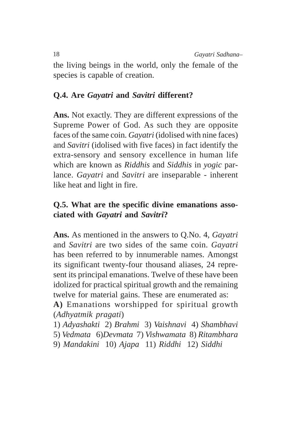the living beings in the world, only the female of the species is capable of creation.

# **Q.4. Are** *Gayatri* **and** *Savitri* **different?**

**Ans.** Not exactly. They are different expressions of the Supreme Power of God. As such they are opposite faces of the same coin. *Gayatri* (idolised with nine faces) and *Savitri* (idolised with five faces) in fact identify the extra-sensory and sensory excellence in human life which are known as *Riddhis* and *Siddhis* in *yogic* parlance. *Gayatri* and *Savitri* are inseparable - inherent like heat and light in fire.

# **Q.5. What are the specific divine emanations associated with** *Gayatri* **and** *Savitri***?**

**Ans.** As mentioned in the answers to Q.No. 4, *Gayatri* and *Savitri* are two sides of the same coin. *Gayatri* has been referred to by innumerable names. Amongst its significant twenty-four thousand aliases, 24 represent its principal emanations. Twelve of these have been idolized for practical spiritual growth and the remaining twelve for material gains. These are enumerated as:

**A)** Emanations worshipped for spiritual growth (*Adhyatmik pragati*)

1) *Adyashakti* 2) *Brahmi* 3) *Vaishnavi* 4) *Shambhavi*

5) *Vedmata* 6)*Devmata* 7) *Vishwamata* 8) *Ritambhara*

9) *Mandakini* 10) *Ajapa* 11) *Riddhi* 12) *Siddhi*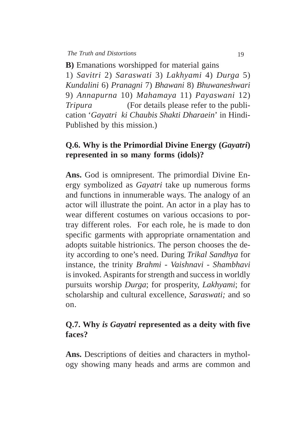**B)** Emanations worshipped for material gains 1) *Savitri* 2) *Saraswati* 3) *Lakhyami* 4) *Durga* 5) *Kundalini* 6) *Pranagni* 7) *Bhawani* 8) *Bhuwaneshwari* 9) *Annapurna* 10) *Mahamaya* 11) *Payaswani* 12) *Tripura* (For details please refer to the publication '*Gayatri ki Chaubis Shakti Dharaein*' in Hindi-Published by this mission.)

#### **Q.6. Why is the Primordial Divine Energy (***Gayatri***) represented in so many forms (idols)?**

**Ans.** God is omnipresent. The primordial Divine Energy symbolized as *Gayatri* take up numerous forms and functions in innumerable ways. The analogy of an actor will illustrate the point. An actor in a play has to wear different costumes on various occasions to portray different roles. For each role, he is made to don specific garments with appropriate ornamentation and adopts suitable histrionics. The person chooses the deity according to one's need. During *Trikal Sandhya* for instance, the trinity *Brahmi* - *Vaishnavi* - *Shambhavi* is invoked. Aspirants for strength and success in worldly pursuits worship *Durga*; for prosperity, *Lakhyami*; for scholarship and cultural excellence, *Saraswati;* and so on.

## **Q.7. Why** *is Gayatri* **represented as a deity with five faces?**

**Ans.** Descriptions of deities and characters in mythology showing many heads and arms are common and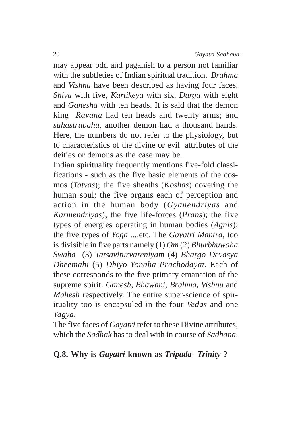may appear odd and paganish to a person not familiar with the subtleties of Indian spiritual tradition. *Brahma* and *Vishnu* have been described as having four faces, *Shiva* with five, *Kartikeya* with six, *Durga* with eight and *Ganesha* with ten heads. It is said that the demon king *Ravana* had ten heads and twenty arms; and *sahastrabahu*, another demon had a thousand hands. Here, the numbers do not refer to the physiology, but to characteristics of the divine or evil attributes of the deities or demons as the case may be.

Indian spirituality frequently mentions five-fold classifications - such as the five basic elements of the cosmos (*Tatvas*); the five sheaths (*Koshas*) covering the human soul; the five organs each of perception and action in the human body (*Gyanendriyas* and *Karmendriyas*), the five life-forces (*Prans*); the five types of energies operating in human bodies (*Agnis*); the five types of *Yoga ....*etc. The *Gayatri Mantra,* too is divisible in five parts namely (1) *Om* (2) *Bhurbhuwaha Swaha* (3) *Tatsaviturvareniyam* (4) *Bhargo Devasya Dheemahi* (5) *Dhiyo Yonaha Prachodayat.* Each of these corresponds to the five primary emanation of the supreme spirit: *Ganesh, Bhawani, Brahma, Vishnu* and *Mahesh* respectively. The entire super-science of spirituality too is encapsuled in the four *Vedas* and one *Yagya*.

The five faces of *Gayatri* refer to these Divine attributes, which the *Sadhak* has to deal with in course of *Sadhana*.

# **Q.8. Why is** *Gayatri* **known as** *Tripada- Trinity* **?**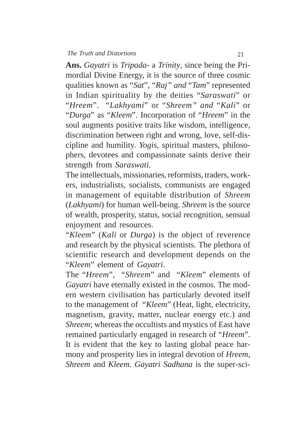**Ans.** *Gayatri* is *Tripada-* a *Trinity*, since being the Primordial Divine Energy, it is the source of three cosmic qualities known as "*Sat*", "*Raj" and* "*Tam*" represented in Indian spirituality by the deities "*Saraswati*" or "*Hreem*". "*Lakhyami*" or "*Shreem" and* "*Kali*" or "*Durga*" as "*Kleem*". Incorporation of "*Hreem*" in the soul augments positive traits like wisdom, intelligence, discrimination between right and wrong, love, self-discipline and humility. *Yogis*, spiritual masters, philosophers, devotees and compassionate saints derive their strength from *Saraswati*.

The intellectuals, missionaries, reformists, traders, workers, industrialists, socialists, communists are engaged in management of equitable distribution of *Shreem* (*Lakhyami*) for human well-being. *Shreem* is the source of wealth, prosperity, status, social recognition, sensual enjoyment and resources.

"*Kleem*" (*Kali* or *Durga*) is the object of reverence and research by the physical scientists. The plethora of scientific research and development depends on the "*Kleem*" element of *Gayatri*.

The "*Hreem*", "*Shreem*" and "*Kleem*" elements of *Gayatri* have eternally existed in the cosmos. The modern western civilisation has particularly devoted itself to the management of "*Kleem*" (Heat, light, electricity, magnetism, gravity, matter, nuclear energy etc.) and *Shreem*; whereas the occultists and mystics of East have remained particularly engaged in research of "*Hreem*". It is evident that the key to lasting global peace harmony and prosperity lies in integral devotion of *Hreem, Shreem* and *Kleem*. *Gayatri Sadhana* is the super-sci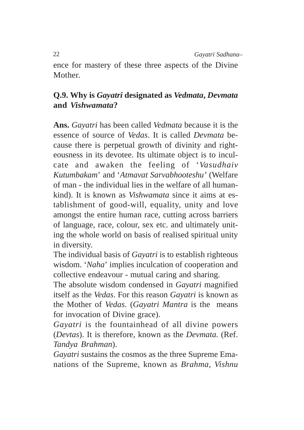ence for mastery of these three aspects of the Divine Mother.

# **Q.9. Why is** *Gayatri* **designated as** *Vedmata***,** *Devmata* **and** *Vishwamata***?**

**Ans.** *Gayatri* has been called *Vedmata* because it is the essence of source of *Vedas*. It is called *Devmata* because there is perpetual growth of divinity and righteousness in its devotee. Its ultimate object is to inculcate and awaken the feeling of '*Vasudhaiv Kutumbakam*' and '*Atmavat Sarvabhooteshu'* (Welfare of man - the individual lies in the welfare of all humankind). It is known as *Vishwamata* since it aims at establishment of good-will, equality, unity and love amongst the entire human race, cutting across barriers of language, race, colour, sex etc. and ultimately uniting the whole world on basis of realised spiritual unity in diversity.

The individual basis of *Gayatri* is to establish righteous wisdom. '*Naha*' implies inculcation of cooperation and collective endeavour - mutual caring and sharing.

The absolute wisdom condensed in *Gayatri* magnified itself as the *Vedas*. For this reason *Gayatri* is known as the Mother of *Vedas*. (*Gayatri Mantra* is the means for invocation of Divine grace).

*Gayatri* is the fountainhead of all divine powers (*Devtas*). It is therefore, known as the *Devmata*. (Ref. *Tandya Brahman*).

*Gayatri* sustains the cosmos as the three Supreme Emanations of the Supreme, known as *Brahma*, *Vishnu*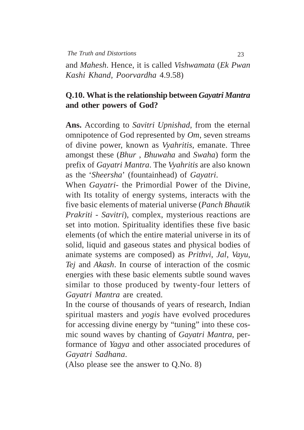and *Mahesh*. Hence, it is called *Vishwamata* (*Ek Pwan Kashi Khand, Poorvardha* 4.9.58)

# **Q.10. What is the relationship between** *Gayatri Mantra* **and other powers of God?**

**Ans.** According to *Savitri Upnishad,* from the eternal omnipotence of God represented by *Om*, seven streams of divine power, known as *Vyahritis,* emanate. Three amongst these (*Bhur* , *Bhuwaha* and *Swaha*) form the prefix of *Gayatri Mantra*. The *Vyahritis* are also known as the '*Sheersha*' (fountainhead) of *Gayatri*.

When *Gayatri*- the Primordial Power of the Divine, with Its totality of energy systems, interacts with the five basic elements of material universe (*Panch Bhautik Prakriti* - *Savitri*), complex, mysterious reactions are set into motion. Spirituality identifies these five basic elements (of which the entire material universe in its of solid, liquid and gaseous states and physical bodies of animate systems are composed) as *Prithvi*, *Jal*, *Vayu*, *Tej* and *Akash*. In course of interaction of the cosmic energies with these basic elements subtle sound waves similar to those produced by twenty-four letters of *Gayatri Mantra* are created.

In the course of thousands of years of research, Indian spiritual masters and *yogis* have evolved procedures for accessing divine energy by "tuning" into these cosmic sound waves by chanting of *Gayatri Mantra*, performance of *Yagya* and other associated procedures of *Gayatri Sadhana*.

(Also please see the answer to Q.No. 8)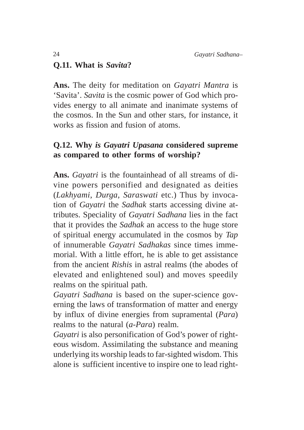# **Q.11. What is** *Savita***?**

**Ans.** The deity for meditation on *Gayatri Mantra* is 'Savita'. *Savita* is the cosmic power of God which provides energy to all animate and inanimate systems of the cosmos. In the Sun and other stars, for instance, it works as fission and fusion of atoms.

# **Q.12. Why** *is Gayatri Upasana* **considered supreme as compared to other forms of worship?**

**Ans.** *Gayatri* is the fountainhead of all streams of divine powers personified and designated as deities (*Lakhyami*, *Durga*, *Saraswati* etc.) Thus by invocation of *Gayatri* the *Sadhak* starts accessing divine attributes. Speciality of *Gayatri Sadhana* lies in the fact that it provides the *Sadhak* an access to the huge store of spiritual energy accumulated in the cosmos by *Tap* of innumerable *Gayatri Sadhakas* since times immemorial. With a little effort, he is able to get assistance from the ancient *Rishis* in astral realms (the abodes of elevated and enlightened soul) and moves speedily realms on the spiritual path.

*Gayatri Sadhana* is based on the super-science governing the laws of transformation of matter and energy by influx of divine energies from supramental (*Para*) realms to the natural (*a*-*Para*) realm.

*Gayatri* is also personification of God's power of righteous wisdom. Assimilating the substance and meaning underlying its worship leads to far-sighted wisdom. This alone is sufficient incentive to inspire one to lead right-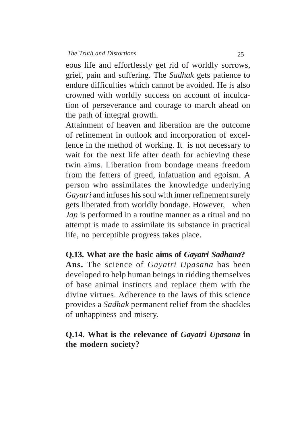eous life and effortlessly get rid of worldly sorrows, grief, pain and suffering. The *Sadhak* gets patience to endure difficulties which cannot be avoided. He is also crowned with worldly success on account of inculcation of perseverance and courage to march ahead on the path of integral growth.

Attainment of heaven and liberation are the outcome of refinement in outlook and incorporation of excellence in the method of working. It is not necessary to wait for the next life after death for achieving these twin aims. Liberation from bondage means freedom from the fetters of greed, infatuation and egoism. A person who assimilates the knowledge underlying *Gayatri* and infuses his soul with inner refinement surely gets liberated from worldly bondage. However, when *Jap* is performed in a routine manner as a ritual and no attempt is made to assimilate its substance in practical life, no perceptible progress takes place.

# **Q.13. What are the basic aims of** *Gayatri Sadhana***?**

**Ans.** The science of *Gayatri Upasana* has been developed to help human beings in ridding themselves of base animal instincts and replace them with the divine virtues. Adherence to the laws of this science provides a *Sadhak* permanent relief from the shackles of unhappiness and misery.

### **Q.14. What is the relevance of** *Gayatri Upasana* **in the modern society?**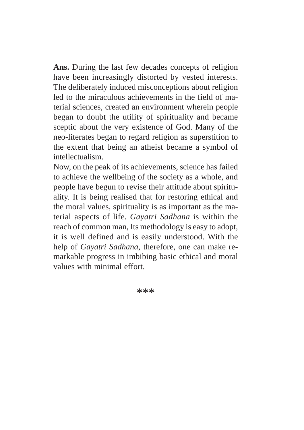**Ans.** During the last few decades concepts of religion have been increasingly distorted by vested interests. The deliberately induced misconceptions about religion led to the miraculous achievements in the field of material sciences, created an environment wherein people began to doubt the utility of spirituality and became sceptic about the very existence of God. Many of the neo-literates began to regard religion as superstition to the extent that being an atheist became a symbol of intellectualism.

Now, on the peak of its achievements, science has failed to achieve the wellbeing of the society as a whole, and people have begun to revise their attitude about spirituality. It is being realised that for restoring ethical and the moral values, spirituality is as important as the material aspects of life. *Gayatri Sadhana* is within the reach of common man, Its methodology is easy to adopt, it is well defined and is easily understood. With the help of *Gayatri Sadhana*, therefore, one can make remarkable progress in imbibing basic ethical and moral values with minimal effort.

\*\*\*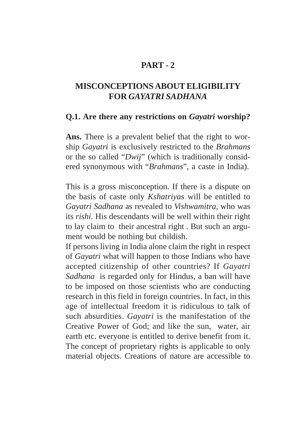# **PART - 2**

# **MISCONCEPTIONS ABOUT ELIGIBILITY FOR** *GAYATRI SADHANA*

#### **Q.1. Are there any restrictions on** *Gayatri* **worship?**

**Ans.** There is a prevalent belief that the right to worship *Gayatri* is exclusively restricted to the *Brahmans* or the so called "*Dwij*" (which is traditionally considered synonymous with "*Brahmans*", a caste in India).

This is a gross misconception. If there is a dispute on the basis of caste only *Kshatriyas* will be entitled to *Gayatri Sadhana* as revealed to *Vishwamitra,* who was its *rishi*. His descendants will be well within their right to lay claim to their ancestral right . But such an argument would be nothing but childish.

If persons living in India alone claim the right in respect of *Gayatri* what will happen to those Indians who have accepted citizenship of other countries? If *Gayatri Sadhana* is regarded only for Hindus, a ban will have to be imposed on those scientists who are conducting research in this field in foreign countries. In fact, in this age of intellectual freedom it is ridiculous to talk of such absurdities. *Gayatri* is the manifestation of the Creative Power of God; and like the sun, water, air earth etc. everyone is entitled to derive benefit from it. The concept of proprietary rights is applicable to only material objects. Creations of nature are accessible to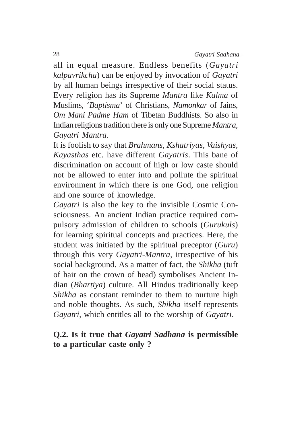all in equal measure. Endless benefits (*Gayatri kalpavrikcha*) can be enjoyed by invocation of *Gayatri* by all human beings irrespective of their social status. Every religion has its Supreme *Mantra* like *Kalma* of Muslims, '*Baptisma*' of Christians, *Namonkar* of Jains, *Om Mani Padme Ham* of Tibetan Buddhists. So also in Indian religions tradition there is only one Supreme *Mantra, Gayatri Mantra*.

It is foolish to say that *Brahmans*, *Kshatriyas*, *Vaishyas*, *Kayasthas* etc. have different *Gayatris*. This bane of discrimination on account of high or low caste should not be allowed to enter into and pollute the spiritual environment in which there is one God, one religion and one source of knowledge.

*Gayatri* is also the key to the invisible Cosmic Consciousness. An ancient Indian practice required compulsory admission of children to schools (*Gurukuls*) for learning spiritual concepts and practices. Here, the student was initiated by the spiritual preceptor (*Guru*) through this very *Gayatri*-*Mantra,* irrespective of his social background. As a matter of fact, the *Shikha* (tuft of hair on the crown of head) symbolises Ancient Indian (*Bhartiya*) culture. All Hindus traditionally keep *Shikha* as constant reminder to them to nurture high and noble thoughts. As such, *Shikha* itself represents *Gayatri,* which entitles all to the worship of *Gayatri*.

# **Q.2. Is it true that** *Gayatri Sadhana* **is permissible to a particular caste only ?**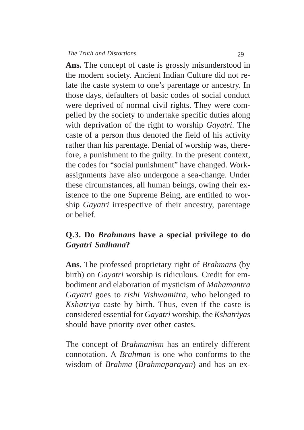**Ans.** The concept of caste is grossly misunderstood in the modern society. Ancient Indian Culture did not relate the caste system to one's parentage or ancestry. In those days, defaulters of basic codes of social conduct were deprived of normal civil rights. They were compelled by the society to undertake specific duties along with deprivation of the right to worship *Gayatri*. The caste of a person thus denoted the field of his activity rather than his parentage. Denial of worship was, therefore, a punishment to the guilty. In the present context, the codes for "social punishment" have changed. Workassignments have also undergone a sea-change. Under these circumstances, all human beings, owing their existence to the one Supreme Being, are entitled to worship *Gayatri* irrespective of their ancestry, parentage or belief.

# **Q.3. Do** *Brahmans* **have a special privilege to do** *Gayatri Sadhana***?**

**Ans.** The professed proprietary right of *Brahmans* (by birth) on *Gayatri* worship is ridiculous. Credit for embodiment and elaboration of mysticism of *Mahamantra Gayatri* goes to *rishi Vishwamitra,* who belonged to *Kshatriya* caste by birth. Thus, even if the caste is considered essential for *Gayatri* worship, the *Kshatriyas* should have priority over other castes.

The concept of *Brahmanism* has an entirely different connotation. A *Brahman* is one who conforms to the wisdom of *Brahma* (*Brahmaparayan*) and has an ex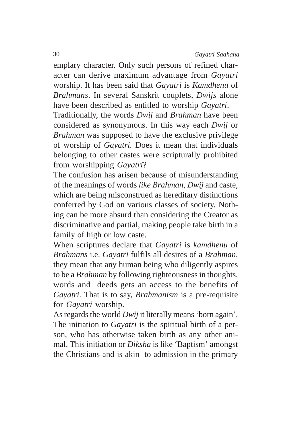emplary character. Only such persons of refined character can derive maximum advantage from *Gayatri* worship. It has been said that *Gayatri* is *Kamdhenu* of *Brahmans*. In several Sanskrit couplets, *Dwijs* alone have been described as entitled to worship *Gayatri*.

Traditionally, the words *Dwij* and *Brahman* have been considered as synonymous. In this way each *Dwij* or *Brahman* was supposed to have the exclusive privilege of worship of *Gayatri.* Does it mean that individuals belonging to other castes were scripturally prohibited from worshipping *Gayatri*?

The confusion has arisen because of misunderstanding of the meanings of words *like Brahman*, *Dwij* and caste, which are being misconstrued as hereditary distinctions conferred by God on various classes of society. Nothing can be more absurd than considering the Creator as discriminative and partial, making people take birth in a family of high or low caste.

When scriptures declare that *Gayatri* is *kamdhenu* of *Brahmans* i.e. *Gayatri* fulfils all desires of a *Brahman*, they mean that any human being who diligently aspires to be a *Brahman* by following righteousness in thoughts, words and deeds gets an access to the benefits of *Gayatri*. That is to say, *Brahmanism* is a pre-requisite for *Gayatri* worship.

As regards the world *Dwij* it literally means 'born again'. The initiation to *Gayatri* is the spiritual birth of a person, who has otherwise taken birth as any other animal. This initiation or *Diksha* is like 'Baptism' amongst the Christians and is akin to admission in the primary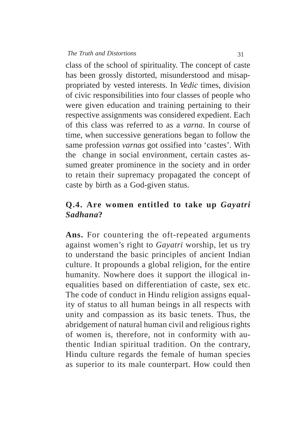class of the school of spirituality. The concept of caste has been grossly distorted, misunderstood and misappropriated by vested interests. In *Vedic* times, division of civic responsibilities into four classes of people who were given education and training pertaining to their respective assignments was considered expedient. Each of this class was referred to as a *varna*. In course of time, when successive generations began to follow the same profession *varnas* got ossified into 'castes'. With the change in social environment, certain castes assumed greater prominence in the society and in order to retain their supremacy propagated the concept of caste by birth as a God-given status.

# **Q.4. Are women entitled to take up** *Gayatri Sadhana***?**

**Ans.** For countering the oft-repeated arguments against women's right to *Gayatri* worship, let us try to understand the basic principles of ancient Indian culture. It propounds a global religion, for the entire humanity. Nowhere does it support the illogical inequalities based on differentiation of caste, sex etc. The code of conduct in Hindu religion assigns equality of status to all human beings in all respects with unity and compassion as its basic tenets. Thus, the abridgement of natural human civil and religious rights of women is, therefore, not in conformity with authentic Indian spiritual tradition. On the contrary, Hindu culture regards the female of human species as superior to its male counterpart. How could then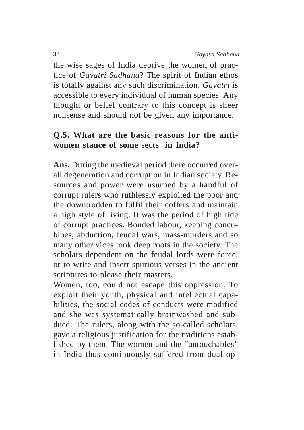the wise sages of India deprive the women of practice of *Gayatri Sadhana*? The spirit of Indian ethos is totally against any such discrimination. *Gayatri* is accessible to every individual of human species. Any thought or belief contrary to this concept is sheer nonsense and should not be given any importance.

# **Q.5. What are the basic reasons for the antiwomen stance of some sects in India?**

**Ans.** During the medieval period there occurred overall degeneration and corruption in Indian society. Resources and power were usurped by a handful of corrupt rulers who ruthlessly exploited the poor and the downtrodden to fulfil their coffers and maintain a high style of living. It was the period of high tide of corrupt practices. Bonded labour, keeping concubines, abduction, feudal wars, mass-murders and so many other vices took deep roots in the society. The scholars dependent on the feudal lords were force, or to write and insert spurious verses in the ancient scriptures to please their masters.

Women, too, could not escape this oppression. To exploit their youth, physical and intellectual capabilities, the social codes of conducts were modified and she was systematically brainwashed and subdued. The rulers, along with the so-called scholars, gave a religious justification for the traditions established by them. The women and the "untouchables" in India thus continuously suffered from dual op-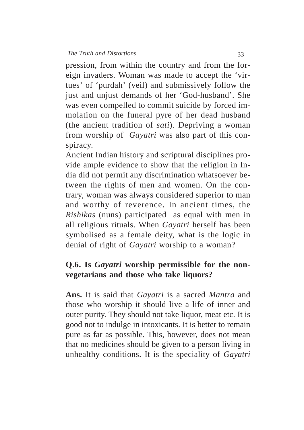pression, from within the country and from the foreign invaders. Woman was made to accept the 'virtues' of 'purdah' (veil) and submissively follow the just and unjust demands of her 'God-husband'. She was even compelled to commit suicide by forced immolation on the funeral pyre of her dead husband (the ancient tradition of *sati*). Depriving a woman from worship of *Gayatri* was also part of this conspiracy.

Ancient Indian history and scriptural disciplines provide ample evidence to show that the religion in India did not permit any discrimination whatsoever between the rights of men and women. On the contrary, woman was always considered superior to man and worthy of reverence. In ancient times, the *Rishikas* (nuns) participated as equal with men in all religious rituals. When *Gayatri* herself has been symbolised as a female deity, what is the logic in denial of right of *Gayatri* worship to a woman?

# **Q.6. Is** *Gayatri* **worship permissible for the nonvegetarians and those who take liquors?**

**Ans.** It is said that *Gayatri* is a sacred *Mantra* and those who worship it should live a life of inner and outer purity. They should not take liquor, meat etc. It is good not to indulge in intoxicants. It is better to remain pure as far as possible. This, however, does not mean that no medicines should be given to a person living in unhealthy conditions. It is the speciality of *Gayatri*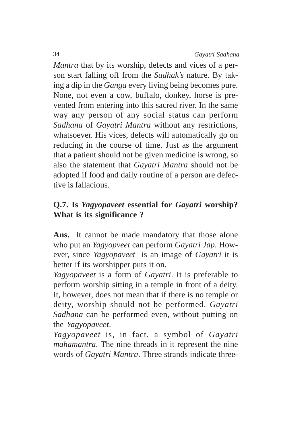*Mantra* that by its worship, defects and vices of a person start falling off from the *Sadhak's* nature. By taking a dip in the *Ganga* every living being becomes pure. None, not even a cow, buffalo, donkey, horse is prevented from entering into this sacred river. In the same way any person of any social status can perform *Sadhana* of *Gayatri Mantra* without any restrictions, whatsoever. His vices, defects will automatically go on reducing in the course of time. Just as the argument that a patient should not be given medicine is wrong, so also the statement that *Gayatri Mantra* should not be adopted if food and daily routine of a person are defective is fallacious.

# **Q.7. Is** *Yagyopaveet* **essential for** *Gayatri* **worship? What is its significance ?**

Ans. It cannot be made mandatory that those alone who put an *Yagyopveet* can perform *Gayatri Jap*. However, since *Yagyopaveet* is an image of *Gayatri* it is better if its worshipper puts it on.

*Yagyopaveet* is a form of *Gayatri*. It is preferable to perform worship sitting in a temple in front of a deity. It, however, does not mean that if there is no temple or deity, worship should not be performed. *Gayatri Sadhana* can be performed even, without putting on the *Yagyopaveet*.

*Yagyopaveet* is, in fact, a symbol of *Gayatri mahamantra*. The nine threads in it represent the nine words of *Gayatri Mantra*. Three strands indicate three-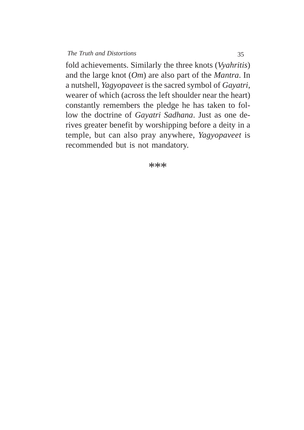fold achievements. Similarly the three knots (*Vyahritis*) and the large knot (*Om*) are also part of the *Mantra*. In a nutshell, *Yagyopaveet* is the sacred symbol of *Gayatri*, wearer of which (across the left shoulder near the heart) constantly remembers the pledge he has taken to follow the doctrine of *Gayatri Sadhana*. Just as one derives greater benefit by worshipping before a deity in a temple, but can also pray anywhere, *Yagyopaveet* is recommended but is not mandatory.

\*\*\*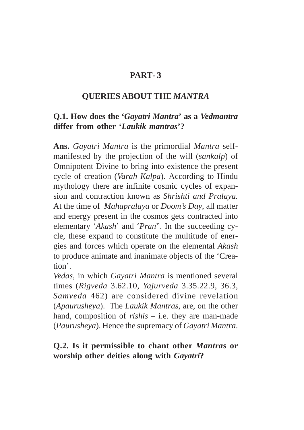# **PART- 3**

#### **QUERIES ABOUT THE** *MANTRA*

#### **Q.1. How does the '***Gayatri Mantra***' as a** *Vedmantra* **differ from other '***Laukik mantras***'?**

**Ans.** *Gayatri Mantra* is the primordial *Mantra* selfmanifested by the projection of the will (*sankalp*) of Omnipotent Divine to bring into existence the present cycle of creation (*Varah Kalpa*). According to Hindu mythology there are infinite cosmic cycles of expansion and contraction known as *Shrishti and Pralaya.* At the time of *Mahapralaya* or *Doom's Day*, all matter and energy present in the cosmos gets contracted into elementary '*Akash*' and '*Pran*". In the succeeding cycle, these expand to constitute the multitude of energies and forces which operate on the elemental *Akash* to produce animate and inanimate objects of the 'Creation'.

*Vedas*, in which *Gayatri Mantra* is mentioned several times (*Rigveda* 3.62.10, *Yajurveda* 3.35.22.9, 36.3, *Samveda* 462) are considered divine revelation (*Apaurusheya*). The *Laukik Mantras*, are, on the other hand, composition of *rishis* – i.e. they are man-made (*Paurusheya*). Hence the supremacy of *Gayatri Mantra*.

#### **Q.2. Is it permissible to chant other** *Mantras* **or worship other deities along with** *Gayatri***?**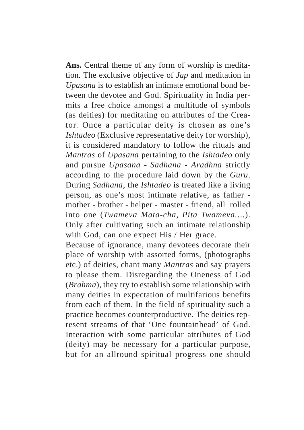**Ans.** Central theme of any form of worship is meditation. The exclusive objective of *Jap* and meditation in *Upasana* is to establish an intimate emotional bond between the devotee and God. Spirituality in India permits a free choice amongst a multitude of symbols (as deities) for meditating on attributes of the Creator. Once a particular deity is chosen as one's *Ishtadeo* (Exclusive representative deity for worship), it is considered mandatory to follow the rituals and *Mantras* of *Upasana* pertaining to the *Ishtadeo* only and pursue *Upasana* - *Sadhana* - *Aradhna* strictly according to the procedure laid down by the *Guru*. During *Sadhana*, the *Ishtadeo* is treated like a living person, as one's most intimate relative, as father mother - brother - helper - master - friend, all rolled into one (*Twameva Mata-cha, Pita Twameva.*...). Only after cultivating such an intimate relationship with God, can one expect His / Her grace.

Because of ignorance, many devotees decorate their place of worship with assorted forms, (photographs etc.) of deities, chant many *Mantras* and say prayers to please them. Disregarding the Oneness of God (*Brahma*), they try to establish some relationship with many deities in expectation of multifarious benefits from each of them. In the field of spirituality such a practice becomes counterproductive. The deities represent streams of that 'One fountainhead' of God. Interaction with some particular attributes of God (deity) may be necessary for a particular purpose, but for an allround spiritual progress one should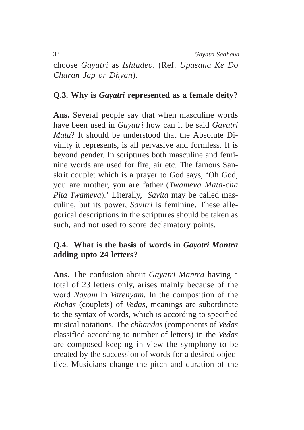38 *Gayatri Sadhana–*

choose *Gayatri* as *Ishtadeo*. (Ref. *Upasana Ke Do Charan Jap or Dhyan*).

## **Q.3. Why is** *Gayatri* **represented as a female deity?**

**Ans.** Several people say that when masculine words have been used in *Gayatri* how can it be said *Gayatri Mata*? It should be understood that the Absolute Divinity it represents, is all pervasive and formless. It is beyond gender. In scriptures both masculine and feminine words are used for fire, air etc. The famous Sanskrit couplet which is a prayer to God says, 'Oh God, you are mother, you are father (*Twameva Mata-cha Pita Twameva*).' Literally, *Savita* may be called masculine, but its power, *Savitri* is feminine. These allegorical descriptions in the scriptures should be taken as such, and not used to score declamatory points.

## **Q.4. What is the basis of words in** *Gayatri Mantra* **adding upto 24 letters?**

**Ans.** The confusion about *Gayatri Mantra* having a total of 23 letters only, arises mainly because of the word *Nayam* in *Varenyam*. In the composition of the *Richas* (couplets) of *Vedas*, meanings are subordinate to the syntax of words, which is according to specified musical notations. The *chhandas* (components of *Vedas* classified according to number of letters) in the *Vedas* are composed keeping in view the symphony to be created by the succession of words for a desired objective. Musicians change the pitch and duration of the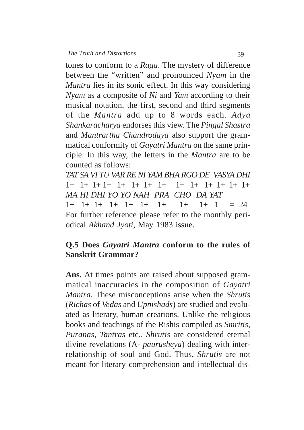tones to conform to a *Raga*. The mystery of difference between the "written" and pronounced *Nyam* in the *Mantra* lies in its sonic effect. In this way considering *Nyam* as a composite of *Ni* and *Yam* according to their musical notation, the first, second and third segments of the *Mantra* add up to 8 words each. *Adya Shankaracharya* endorses this view. The *Pingal Shastra* and *Mantrartha Chandrodaya* also support the grammatical conformity of *Gayatri Mantra* on the same principle. In this way, the letters in the *Mantra* are to be counted as follows:

*TAT SA VI TU VAR RE NI YAM BHA RGO DE VASYA DHI* 1+ 1+ 1+ 1+ 1+ 1+ 1+ 1+ 1+ 1+ 1+ 1+ 1+ 1+ *MA HI DHI YO YO NAH PRA CHO DA YAT*  $1+ 1+ 1+ 1+ 1+ 1+ 1+ 1+ 1+ 1 = 24$ For further reference please refer to the monthly periodical *Akhand Jyoti*, May 1983 issue.

## **Q.5 Does** *Gayatri Mantra* **conform to the rules of Sanskrit Grammar?**

**Ans.** At times points are raised about supposed grammatical inaccuracies in the composition of *Gayatri Mantra*. These misconceptions arise when the *Shrutis* (*Richas* of *Vedas* and *Upnishads*) are studied and evaluated as literary, human creations. Unlike the religious books and teachings of the Rishis compiled as *Smritis*, *Puranas*, *Tantras* etc., *Shrutis* are considered eternal divine revelations (A- *paurusheya*) dealing with interrelationship of soul and God. Thus, *Shrutis* are not meant for literary comprehension and intellectual dis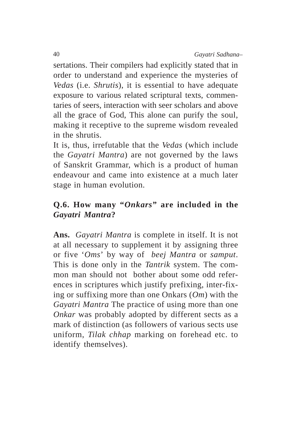sertations. Their compilers had explicitly stated that in order to understand and experience the mysteries of *Vedas* (i.e. *Shrutis*), it is essential to have adequate exposure to various related scriptural texts, commentaries of seers, interaction with seer scholars and above all the grace of God, This alone can purify the soul, making it receptive to the supreme wisdom revealed in the shrutis.

It is, thus, irrefutable that the *Vedas* (which include the *Gayatri Mantra*) are not governed by the laws of Sanskrit Grammar, which is a product of human endeavour and came into existence at a much later stage in human evolution.

# **Q.6. How many "***Onkars***" are included in the** *Gayatri Mantra***?**

**Ans.** *Gayatri Mantra* is complete in itself. It is not at all necessary to supplement it by assigning three or five '*Oms*' by way of *beej Mantra* or *samput*. This is done only in the *Tantrik* system. The common man should not bother about some odd references in scriptures which justify prefixing, inter-fixing or suffixing more than one Onkars (*Om*) with the *Gayatri Mantra* The practice of using more than one *Onkar* was probably adopted by different sects as a mark of distinction (as followers of various sects use uniform, *Tilak chhap* marking on forehead etc. to identify themselves).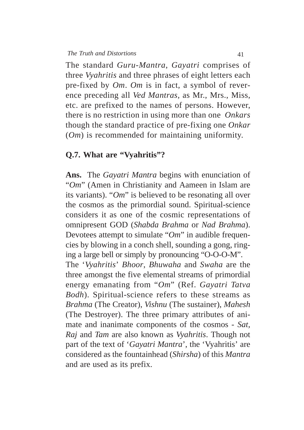The standard *Guru*-*Mantra*, *Gayatri* comprises of three *Vyahritis* and three phrases of eight letters each pre-fixed by *Om*. *Om* is in fact, a symbol of reverence preceding all *Ved Mantras,* as Mr., Mrs., Miss, etc. are prefixed to the names of persons. However, there is no restriction in using more than one *Onkars* though the standard practice of pre-fixing one *Onkar* (*Om*) is recommended for maintaining uniformity.

#### **Q.7. What are "Vyahritis"?**

**Ans.** The *Gayatri Mantra* begins with enunciation of "*Om*" (Amen in Christianity and Aameen in Islam are its variants). "*Om*" is believed to be resonating all over the cosmos as the primordial sound. Spiritual-science considers it as one of the cosmic representations of omnipresent GOD (*Shabda Brahma* or *Nad Brahma*). Devotees attempt to simulate "*Om*" in audible frequencies by blowing in a conch shell, sounding a gong, ringing a large bell or simply by pronouncing "O-O-O-M".

The '*Vyahritis*' *Bhoor*, *Bhuwaha* and *Swaha* are the three amongst the five elemental streams of primordial energy emanating from "*Om*" (Ref. *Gayatri Tatva Bodh*). Spiritual-science refers to these streams as *Brahma* (The Creator), *Vishnu* (The sustainer), *Mahesh* (The Destroyer). The three primary attributes of animate and inanimate components of the cosmos - *Sat, Raj* and *Tam* are also known as *Vyahritis*. Though not part of the text of '*Gayatri Mantra*', the 'Vyahritis' are considered as the fountainhead (*Shirsha*) of this *Mantra* and are used as its prefix.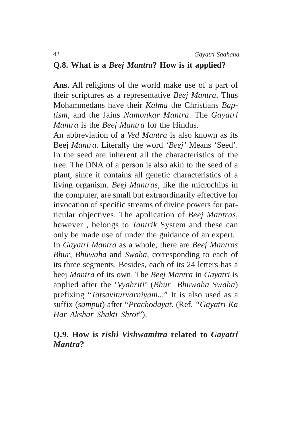#### **Q.8. What is a** *Beej Mantra***? How is it applied?**

**Ans.** All religions of the world make use of a part of their scriptures as a representative *Beej Mantra*. Thus Mohammedans have their *Kalma* the Christians *Baptism*, and the Jains *Namonkar Mantra*. The *Gayatri Mantra* is the *Beej Mantra* for the Hindus.

An abbreviation of a *Ved Mantra* is also known as its Beej *Mantra*. Literally the word *'Beej'* Means 'Seed'. In the seed are inherent all the characteristics of the tree. The DNA of a person is also akin to the seed of a plant, since it contains all genetic characteristics of a living organism*. Beej Mantras*, like the microchips in the computer, are small but extraordinarily effective for invocation of specific streams of divine powers for particular objectives. The application of *Beej Mantras*, however , belongs to *Tantrik* System and these can only be made use of under the guidance of an expert.

In *Gayatri Mantra* as a whole, there are *Beej Mantras Bhur*, *Bhuwaha* and *Swaha*, corresponding to each of its three segments. Besides, each of its 24 letters has a beej *Mantra* of its own. The *Beej Mantra* in *Gayatri* is applied after the '*Vyahriti*' (*Bhur Bhuwaha Swaha*) prefixing "*Tatsaviturvarniyam*..." It is also used as a suffix (*samput*) after "*Prachodayat*. (Ref. *"Gayatri Ka Har Akshar Shakti Shrot*").

## **Q.9. How is** *rishi Vishwamitra* **related to** *Gayatri Mantra***?**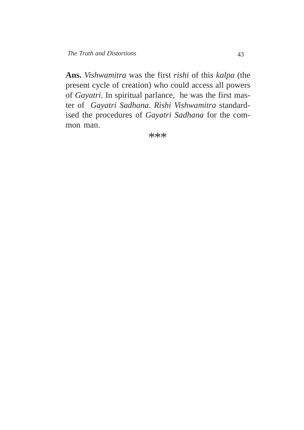**Ans.** *Vishwamitra* was the first *rishi* of this *kalpa* (the present cycle of creation) who could access all powers of *Gayatri*. In spiritual parlance, he was the first master of *Gayatri Sadhana. Rishi Vishwamitra* standardised the procedures of *Gayatri Sadhana* for the common man.

\*\*\*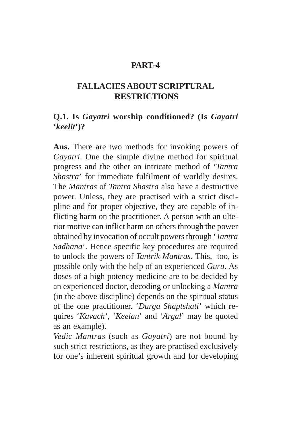## **PART-4**

# **FALLACIES ABOUT SCRIPTURAL RESTRICTIONS**

## **Q.1. Is** *Gayatri* **worship conditioned? (Is** *Gayatri* **'***keelit***')?**

**Ans.** There are two methods for invoking powers of *Gayatri*. One the simple divine method for spiritual progress and the other an intricate method of '*Tantra Shastra*' for immediate fulfilment of worldly desires. The *Mantras* of *Tantra Shastra* also have a destructive power. Unless, they are practised with a strict discipline and for proper objective, they are capable of inflicting harm on the practitioner. A person with an ulterior motive can inflict harm on others through the power obtained by invocation of occult powers through '*Tantra Sadhana*'. Hence specific key procedures are required to unlock the powers of *Tantrik Mantras*. This, too, is possible only with the help of an experienced *Guru*. As doses of a high potency medicine are to be decided by an experienced doctor, decoding or unlocking a *Mantra* (in the above discipline) depends on the spiritual status of the one practitioner. '*Durga Shaptshati*' which requires '*Kavach*', '*Keelan*' and '*Argal*' may be quoted as an example).

*Vedic Mantras* (such as *Gayatri*) are not bound by such strict restrictions, as they are practised exclusively for one's inherent spiritual growth and for developing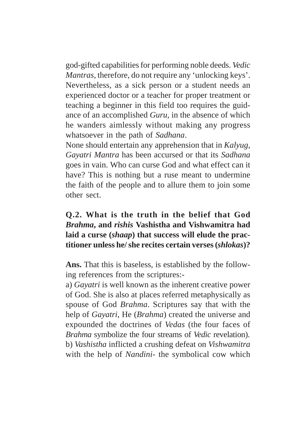god-gifted capabilities for performing noble deeds. *Vedic Mantras,* therefore, do not require any 'unlocking keys'. Nevertheless, as a sick person or a student needs an experienced doctor or a teacher for proper treatment or teaching a beginner in this field too requires the guidance of an accomplished *Guru*, in the absence of which he wanders aimlessly without making any progress whatsoever in the path of *Sadhana*.

None should entertain any apprehension that in *Kalyug*, *Gayatri Mantra* has been accursed or that its *Sadhana* goes in vain. Who can curse God and what effect can it have? This is nothing but a ruse meant to undermine the faith of the people and to allure them to join some other sect.

# **Q.2. What is the truth in the belief that God** *Brahma***, and** *rishis* **Vashistha and Vishwamitra had laid a curse (***shaap***) that success will elude the practitioner unless he/ she recites certain verses (***shlokas***)?**

**Ans.** That this is baseless, is established by the following references from the scriptures:-

a) *Gayatri* is well known as the inherent creative power of God. She is also at places referred metaphysically as spouse of God *Brahma*. Scriptures say that with the help of *Gayatri*, He (*Brahma*) created the universe and expounded the doctrines of *Vedas* (the four faces of *Brahma* symbolize the four streams of *Vedic* revelation). b) *Vashistha* inflicted a crushing defeat on *Vishwamitra* with the help of *Nandini*- the symbolical cow which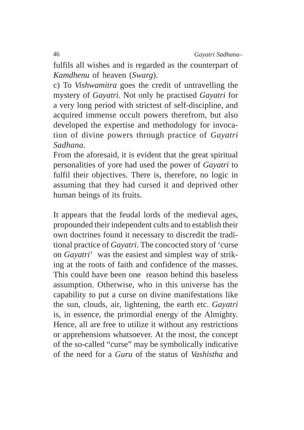fulfils all wishes and is regarded as the counterpart of *Kamdhenu* of heaven (*Swarg*).

c) To *Vishwamitra* goes the credit of untravelling the mystery of *Gayatri*. Not only he practised *Gayatri* for a very long period with strictest of self-discipline, and acquired immense occult powers therefrom, but also developed the expertise and methodology for invocation of divine powers through practice of *Gayatri Sadhana*.

From the aforesaid, it is evident that the great spiritual personalities of yore had used the power of *Gayatri* to fulfil their objectives. There is, therefore, no logic in assuming that they had cursed it and deprived other human beings of its fruits.

It appears that the feudal lords of the medieval ages, propounded their independent cults and to establish their own doctrines found it necessary to discredit the traditional practice of *Gayatri*. The concocted story of 'curse on *Gayatri*' was the easiest and simplest way of striking at the roots of faith and confidence of the masses. This could have been one reason behind this baseless assumption. Otherwise, who in this universe has the capability to put a curse on divine manifestations like the sun, clouds, air, lightening, the earth etc. *Gayatri* is, in essence, the primordial energy of the Almighty. Hence, all are free to utilize it without any restrictions or apprehensions whatsoever. At the most, the concept of the so-called "curse" may be symbolically indicative of the need for a *Guru* of the status of *Vashistha* and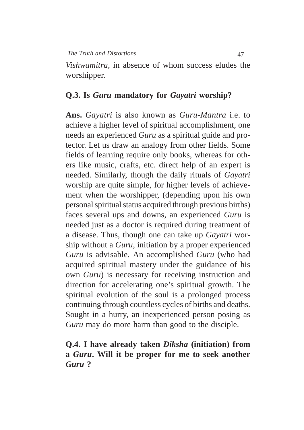## **Q.3. Is** *Guru* **mandatory for** *Gayatri* **worship?**

**Ans.** *Gayatri* is also known as *Guru*-*Mantra* i.e. to achieve a higher level of spiritual accomplishment, one needs an experienced *Guru* as a spiritual guide and protector. Let us draw an analogy from other fields. Some fields of learning require only books, whereas for others like music, crafts, etc. direct help of an expert is needed. Similarly, though the daily rituals of *Gayatri* worship are quite simple, for higher levels of achievement when the worshipper, (depending upon his own personal spiritual status acquired through previous births) faces several ups and downs, an experienced *Guru* is needed just as a doctor is required during treatment of a disease. Thus, though one can take up *Gayatri* worship without a *Guru*, initiation by a proper experienced *Guru* is advisable. An accomplished *Guru* (who had acquired spiritual mastery under the guidance of his own *Guru*) is necessary for receiving instruction and direction for accelerating one's spiritual growth. The spiritual evolution of the soul is a prolonged process continuing through countless cycles of births and deaths. Sought in a hurry, an inexperienced person posing as *Guru* may do more harm than good to the disciple.

## **Q.4. I have already taken** *Diksha* **(initiation) from a** *Guru***. Will it be proper for me to seek another** *Guru* **?**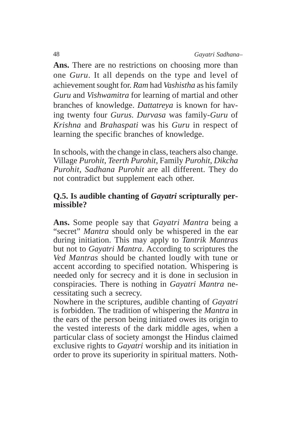**Ans.** There are no restrictions on choosing more than one *Guru*. It all depends on the type and level of achievement sought for. *Ram* had *Vashistha* as his family *Guru* and *Vishwamitra* for learning of martial and other branches of knowledge. *Dattatreya* is known for having twenty four *Gurus*. *Durvasa* was family-*Guru* of *Krishna* and *Brahaspati* was his *Guru* in respect of learning the specific branches of knowledge.

In schools, with the change in class, teachers also change. Village *Purohit*, *Teerth Purohit*, Family *Purohit*, *Dikcha Purohit*, *Sadhana Purohit* are all different. They do not contradict but supplement each other.

## **Q.5. Is audible chanting of** *Gayatri* **scripturally permissible?**

**Ans.** Some people say that *Gayatri Mantra* being a "secret" *Mantra* should only be whispered in the ear during initiation. This may apply to *Tantrik Mantras* but not to *Gayatri Mantra*. According to scriptures the *Ved Mantras* should be chanted loudly with tune or accent according to specified notation. Whispering is needed only for secrecy and it is done in seclusion in conspiracies. There is nothing in *Gayatri Mantra* necessitating such a secrecy.

Nowhere in the scriptures, audible chanting of *Gayatri* is forbidden. The tradition of whispering the *Mantra* in the ears of the person being initiated owes its origin to the vested interests of the dark middle ages, when a particular class of society amongst the Hindus claimed exclusive rights to *Gayatri* worship and its initiation in order to prove its superiority in spiritual matters. Noth-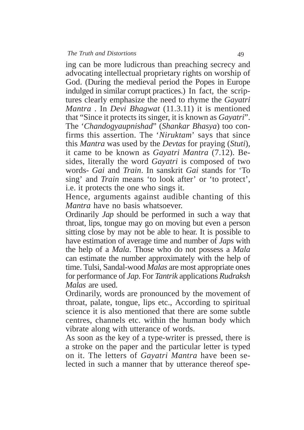ing can be more ludicrous than preaching secrecy and advocating intellectual proprietary rights on worship of God. (During the medieval period the Popes in Europe indulged in similar corrupt practices.) In fact, the scriptures clearly emphasize the need to rhyme the *Gayatri Mantra* . In *Devi Bhagwat* (11.3.11) it is mentioned that "Since it protects its singer, it is known as *Gayatri*". The '*Chandogyaupnishad*" (*Shankar Bhasya*) too confirms this assertion. The '*Niruktam*' says that since this *Mantra* was used by the *Devtas* for praying (*Stuti*), it came to be known as *Gayatri Mantra* (7.12). Besides, literally the word *Gayatri* is composed of two words- *Gai* and *Train*. In sanskrit *Gai* stands for 'To sing' and *Train* means 'to look after' or 'to protect', i.e. it protects the one who sings it.

Hence, arguments against audible chanting of this *Mantra* have no basis whatsoever.

Ordinarily *Jap* should be performed in such a way that throat, lips, tongue may go on moving but even a person sitting close by may not be able to hear. It is possible to have estimation of average time and number of *Japs* with the help of a *Mala*. Those who do not possess a *Mala* can estimate the number approximately with the help of time. Tulsi, Sandal-wood *Malas* are most appropriate ones for performance of *Jap*. For *Tantrik* applications *Rudraksh Malas* are used.

Ordinarily, words are pronounced by the movement of throat, palate, tongue, lips etc., According to spiritual science it is also mentioned that there are some subtle centres, channels etc. within the human body which vibrate along with utterance of words.

As soon as the key of a type-writer is pressed, there is a stroke on the paper and the particular letter is typed on it. The letters of *Gayatri Mantra* have been selected in such a manner that by utterance thereof spe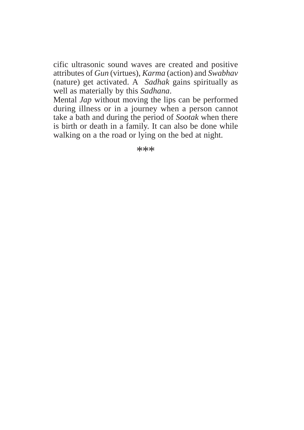cific ultrasonic sound waves are created and positive attributes of *Gun* (virtues), *Karma* (action) and *Swabhav* (nature) get activated. A *Sadhak* gains spiritually as well as materially by this *Sadhana*.

Mental *Jap* without moving the lips can be performed during illness or in a journey when a person cannot take a bath and during the period of *Sootak* when there is birth or death in a family. It can also be done while walking on a the road or lying on the bed at night.

\*\*\*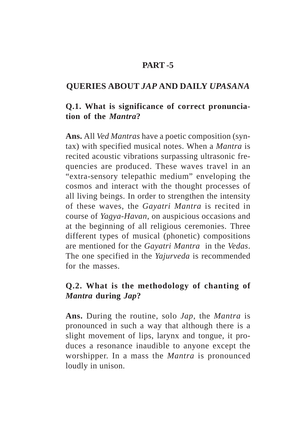## **PART -5**

## **QUERIES ABOUT** *JAP* **AND DAILY** *UPASANA*

## **Q.1. What is significance of correct pronunciation of the** *Mantra***?**

**Ans.** All *Ved Mantras* have a poetic composition (syntax) with specified musical notes. When a *Mantra* is recited acoustic vibrations surpassing ultrasonic frequencies are produced. These waves travel in an "extra-sensory telepathic medium" enveloping the cosmos and interact with the thought processes of all living beings. In order to strengthen the intensity of these waves, the *Gayatri Mantra* is recited in course of *Yagya*-*Havan*, on auspicious occasions and at the beginning of all religious ceremonies. Three different types of musical (phonetic) compositions are mentioned for the *Gayatri Mantra* in the *Vedas*. The one specified in the *Yajurveda* is recommended for the masses.

## **Q.2. What is the methodology of chanting of** *Mantra* **during** *Jap***?**

**Ans.** During the routine, solo *Jap*, the *Mantra* is pronounced in such a way that although there is a slight movement of lips, larynx and tongue, it produces a resonance inaudible to anyone except the worshipper. In a mass the *Mantra* is pronounced loudly in unison.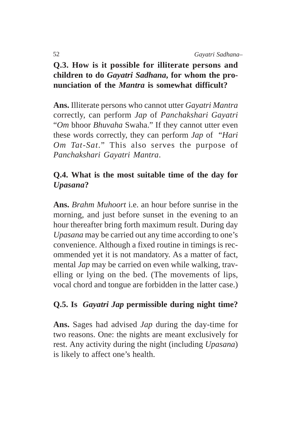# **Q.3. How is it possible for illiterate persons and children to do** *Gayatri Sadhana***, for whom the pronunciation of the** *Mantra* **is somewhat difficult?**

**Ans.** Illiterate persons who cannot utter *Gayatri Mantra* correctly, can perform *Jap* of *Panchakshari Gayatri* "*Om* bhoor *Bhuvaha* Swaha." If they cannot utter even these words correctly, they can perform *Jap* of "*Hari Om Tat*-*Sat*." This also serves the purpose of *Panchakshari Gayatri Mantra*.

# **Q.4. What is the most suitable time of the day for** *Upasana***?**

**Ans.** *Brahm Muhoort* i.e. an hour before sunrise in the morning, and just before sunset in the evening to an hour thereafter bring forth maximum result. During day *Upasana* may be carried out any time according to one's convenience. Although a fixed routine in timings is recommended yet it is not mandatory. As a matter of fact, mental *Jap* may be carried on even while walking, travelling or lying on the bed. (The movements of lips, vocal chord and tongue are forbidden in the latter case.)

# **Q.5. Is** *Gayatri Jap* **permissible during night time?**

**Ans.** Sages had advised *Jap* during the day-time for two reasons. One: the nights are meant exclusively for rest. Any activity during the night (including *Upasana*) is likely to affect one's health.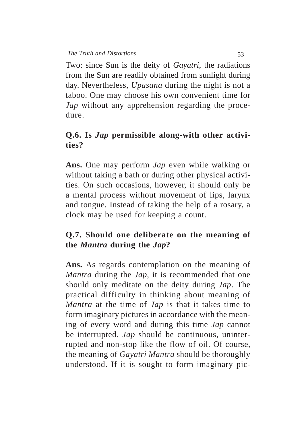Two: since Sun is the deity of *Gayatri*, the radiations from the Sun are readily obtained from sunlight during day. Nevertheless, *Upasana* during the night is not a taboo. One may choose his own convenient time for *Jap* without any apprehension regarding the procedure.

# **Q.6. Is** *Jap* **permissible along-with other activities?**

**Ans.** One may perform *Jap* even while walking or without taking a bath or during other physical activities. On such occasions, however, it should only be a mental process without movement of lips, larynx and tongue. Instead of taking the help of a rosary, a clock may be used for keeping a count.

# **Q.7. Should one deliberate on the meaning of the** *Mantra* **during the** *Jap***?**

**Ans.** As regards contemplation on the meaning of *Mantra* during the *Jap*, it is recommended that one should only meditate on the deity during *Jap*. The practical difficulty in thinking about meaning of *Mantra* at the time of *Jap* is that it takes time to form imaginary pictures in accordance with the meaning of every word and during this time *Jap* cannot be interrupted. *Jap* should be continuous, uninterrupted and non-stop like the flow of oil. Of course, the meaning of *Gayatri Mantra* should be thoroughly understood. If it is sought to form imaginary pic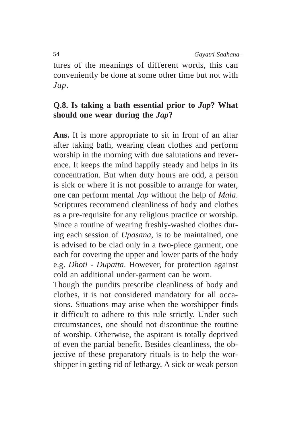tures of the meanings of different words, this can conveniently be done at some other time but not with *Jap*.

## **Q.8. Is taking a bath essential prior to** *Jap***? What should one wear during the** *Jap***?**

**Ans.** It is more appropriate to sit in front of an altar after taking bath, wearing clean clothes and perform worship in the morning with due salutations and reverence. It keeps the mind happily steady and helps in its concentration. But when duty hours are odd, a person is sick or where it is not possible to arrange for water, one can perform mental *Jap* without the help of *Mala*. Scriptures recommend cleanliness of body and clothes as a pre-requisite for any religious practice or worship. Since a routine of wearing freshly-washed clothes during each session of *Upasana*, is to be maintained, one is advised to be clad only in a two-piece garment, one each for covering the upper and lower parts of the body e.g. *Dhoti* - *Dupatta*. However, for protection against cold an additional under-garment can be worn.

Though the pundits prescribe cleanliness of body and clothes, it is not considered mandatory for all occasions. Situations may arise when the worshipper finds it difficult to adhere to this rule strictly. Under such circumstances, one should not discontinue the routine of worship. Otherwise, the aspirant is totally deprived of even the partial benefit. Besides cleanliness, the objective of these preparatory rituals is to help the worshipper in getting rid of lethargy. A sick or weak person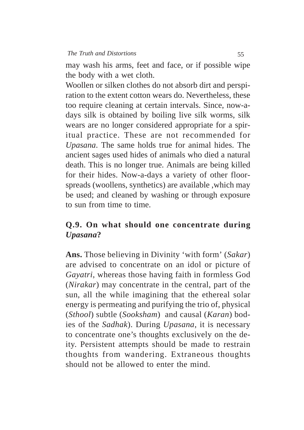may wash his arms, feet and face, or if possible wipe the body with a wet cloth.

Woollen or silken clothes do not absorb dirt and perspiration to the extent cotton wears do. Nevertheless, these too require cleaning at certain intervals. Since, now-adays silk is obtained by boiling live silk worms, silk wears are no longer considered appropriate for a spiritual practice. These are not recommended for *Upasana*. The same holds true for animal hides. The ancient sages used hides of animals who died a natural death. This is no longer true. Animals are being killed for their hides. Now-a-days a variety of other floorspreads (woollens, synthetics) are available ,which may be used; and cleaned by washing or through exposure to sun from time to time.

# **Q.9. On what should one concentrate during** *Upasana***?**

**Ans.** Those believing in Divinity 'with form' (*Sakar*) are advised to concentrate on an idol or picture of *Gayatri*, whereas those having faith in formless God (*Nirakar*) may concentrate in the central, part of the sun, all the while imagining that the ethereal solar energy is permeating and purifying the trio of, physical (*Sthool*) subtle (*Sooksham*) and causal (*Karan*) bodies of the *Sadhak*). During *Upasana*, it is necessary to concentrate one's thoughts exclusively on the deity. Persistent attempts should be made to restrain thoughts from wandering. Extraneous thoughts should not be allowed to enter the mind.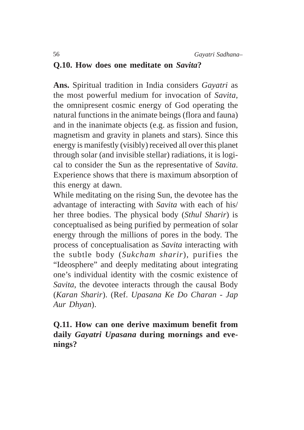## **Q.10. How does one meditate on** *Savita***?**

**Ans.** Spiritual tradition in India considers *Gayatri* as the most powerful medium for invocation of *Savita,* the omnipresent cosmic energy of God operating the natural functions in the animate beings (flora and fauna) and in the inanimate objects (e.g. as fission and fusion, magnetism and gravity in planets and stars). Since this energy is manifestly (visibly) received all over this planet through solar (and invisible stellar) radiations, it is logical to consider the Sun as the representative of *Savita*. Experience shows that there is maximum absorption of this energy at dawn.

While meditating on the rising Sun, the devotee has the advantage of interacting with *Savita* with each of his/ her three bodies. The physical body (*Sthul Sharir*) is conceptualised as being purified by permeation of solar energy through the millions of pores in the body. The process of conceptualisation as *Savita* interacting with the subtle body (*Sukcham sharir*), purifies the "Ideosphere" and deeply meditating about integrating one's individual identity with the cosmic existence of *Savita*, the devotee interacts through the causal Body (*Karan Sharir*). (Ref. *Upasana Ke Do Charan - Jap Aur Dhyan*).

**Q.11. How can one derive maximum benefit from daily** *Gayatri Upasana* **during mornings and evenings?**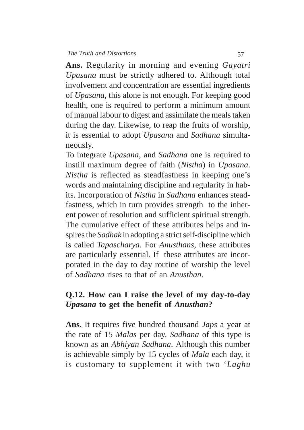**Ans.** Regularity in morning and evening *Gayatri Upasana* must be strictly adhered to. Although total involvement and concentration are essential ingredients of *Upasana*, this alone is not enough. For keeping good health, one is required to perform a minimum amount of manual labour to digest and assimilate the meals taken during the day. Likewise, to reap the fruits of worship, it is essential to adopt *Upasana* and *Sadhana* simultaneously.

To integrate *Upasana*, and *Sadhana* one is required to instill maximum degree of faith (*Nistha*) in *Upasana*. *Nistha* is reflected as steadfastness in keeping one's words and maintaining discipline and regularity in habits. Incorporation of *Nistha* in *Sadhana* enhances steadfastness, which in turn provides strength to the inherent power of resolution and sufficient spiritual strength. The cumulative effect of these attributes helps and inspires the *Sadhak* in adopting a strict self-discipline which is called *Tapascharya*. For *Anusthans*, these attributes are particularly essential. If these attributes are incorporated in the day to day routine of worship the level of *Sadhana* rises to that of an *Anusthan*.

## **Q.12. How can I raise the level of my day-to-day** *Upasana* **to get the benefit of** *Anusthan***?**

**Ans.** It requires five hundred thousand *Japs* a year at the rate of 15 *Malas* per day. *Sadhana* of this type is known as an *Abhiyan Sadhana*. Although this number is achievable simply by 15 cycles of *Mala* each day, it is customary to supplement it with two '*Laghu*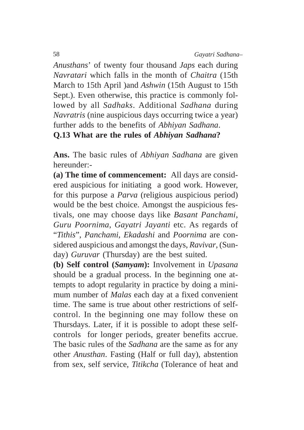*Anusthans*' of twenty four thousand *Japs* each during *Navratari* which falls in the month of *Chaitra* (15th March to 15th April )and *Ashwin* (15th August to 15th Sept.). Even otherwise, this practice is commonly followed by all *Sadhaks*. Additional *Sadhana* during *Navratris* (nine auspicious days occurring twice a year) further adds to the benefits of *Abhiyan Sadhana*. **Q.13 What are the rules of** *Abhiyan Sadhana***?**

**Ans.** The basic rules of *Abhiyan Sadhana* are given hereunder:-

**(a) The time of commencement:** All days are considered auspicious for initiating a good work. However, for this purpose a *Parva* (religious auspicious period) would be the best choice. Amongst the auspicious festivals, one may choose days like *Basant Panchami*, *Guru Poornima*, *Gayatri Jayanti* etc. As regards of "*Tithis*", *Panchami*, *Ekadashi* and *Poornima* are considered auspicious and amongst the days, *Ravivar*, (Sunday) *Guruvar* (Thursday) are the best suited.

**(b) Self control (***Samyam***):** Involvement in *Upasana* should be a gradual process. In the beginning one attempts to adopt regularity in practice by doing a minimum number of *Malas* each day at a fixed convenient time. The same is true about other restrictions of selfcontrol. In the beginning one may follow these on Thursdays. Later, if it is possible to adopt these selfcontrols for longer periods, greater benefits accrue. The basic rules of the *Sadhana* are the same as for any other *Anusthan*. Fasting (Half or full day), abstention from sex, self service, *Titikcha* (Tolerance of heat and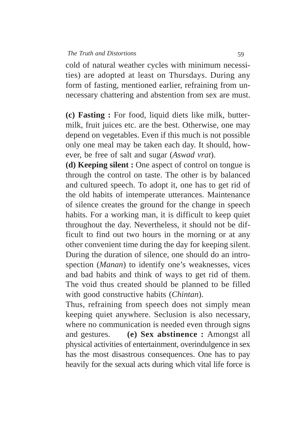cold of natural weather cycles with minimum necessities) are adopted at least on Thursdays. During any form of fasting, mentioned earlier, refraining from unnecessary chattering and abstention from sex are must.

**(c) Fasting :** For food, liquid diets like milk, buttermilk, fruit juices etc. are the best. Otherwise, one may depend on vegetables. Even if this much is not possible only one meal may be taken each day. It should, however, be free of salt and sugar (*Aswad vrat*).

**(d) Keeping silent :** One aspect of control on tongue is through the control on taste. The other is by balanced and cultured speech. To adopt it, one has to get rid of the old habits of intemperate utterances. Maintenance of silence creates the ground for the change in speech habits. For a working man, it is difficult to keep quiet throughout the day. Nevertheless, it should not be difficult to find out two hours in the morning or at any other convenient time during the day for keeping silent. During the duration of silence, one should do an introspection (*Manan*) to identify one's weaknesses, vices and bad habits and think of ways to get rid of them. The void thus created should be planned to be filled with good constructive habits (*Chintan*).

Thus, refraining from speech does not simply mean keeping quiet anywhere. Seclusion is also necessary, where no communication is needed even through signs and gestures. **(e) Sex abstinence :** Amongst all physical activities of entertainment, overindulgence in sex has the most disastrous consequences. One has to pay heavily for the sexual acts during which vital life force is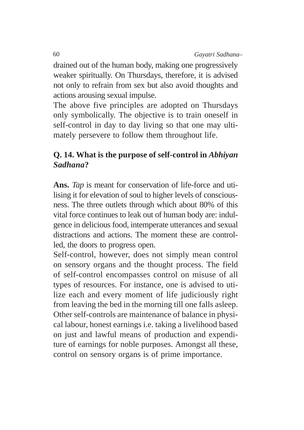drained out of the human body, making one progressively weaker spiritually. On Thursdays, therefore, it is advised not only to refrain from sex but also avoid thoughts and actions arousing sexual impulse.

The above five principles are adopted on Thursdays only symbolically. The objective is to train oneself in self-control in day to day living so that one may ultimately persevere to follow them throughout life.

# **Q. 14. What is the purpose of self-control in** *Abhiyan Sadhana***?**

**Ans.** *Tap* is meant for conservation of life-force and utilising it for elevation of soul to higher levels of consciousness. The three outlets through which about 80% of this vital force continues to leak out of human body are: indulgence in delicious food, intemperate utterances and sexual distractions and actions. The moment these are controlled, the doors to progress open.

Self-control, however, does not simply mean control on sensory organs and the thought process. The field of self-control encompasses control on misuse of all types of resources. For instance, one is advised to utilize each and every moment of life judiciously right from leaving the bed in the morning till one falls asleep. Other self-controls are maintenance of balance in physical labour, honest earnings i.e. taking a livelihood based on just and lawful means of production and expenditure of earnings for noble purposes. Amongst all these, control on sensory organs is of prime importance.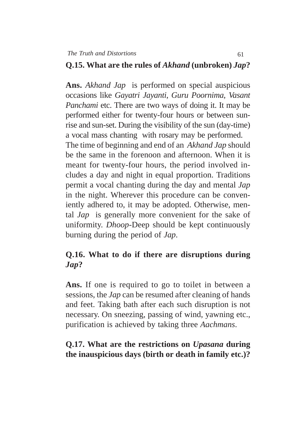#### **Q.15. What are the rules of** *Akhand* **(unbroken)** *Jap***?**

**Ans.** *Akhand Jap* is performed on special auspicious occasions like *Gayatri Jayanti*, *Guru Poornima*, *Vasant Panchami* etc. There are two ways of doing it. It may be performed either for twenty-four hours or between sunrise and sun-set. During the visibility of the sun (day-time) a vocal mass chanting with rosary may be performed. The time of beginning and end of an *Akhand Jap* should be the same in the forenoon and afternoon. When it is meant for twenty-four hours, the period involved includes a day and night in equal proportion. Traditions permit a vocal chanting during the day and mental *Jap* in the night. Wherever this procedure can be conveniently adhered to, it may be adopted. Otherwise, mental *Jap* is generally more convenient for the sake of uniformity. *Dhoop*-Deep should be kept continuously burning during the period of *Jap*.

# **Q.16. What to do if there are disruptions during** *Jap***?**

**Ans.** If one is required to go to toilet in between a sessions, the *Jap* can be resumed after cleaning of hands and feet. Taking bath after each such disruption is not necessary. On sneezing, passing of wind, yawning etc., purification is achieved by taking three *Aachmans*.

## **Q.17. What are the restrictions on** *Upasana* **during the inauspicious days (birth or death in family etc.)?**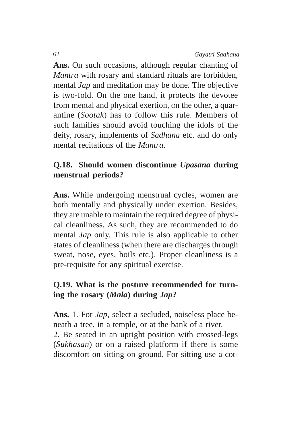**Ans.** On such occasions, although regular chanting of *Mantra* with rosary and standard rituals are forbidden, mental *Jap* and meditation may be done. The objective is two-fold. On the one hand, it protects the devotee from mental and physical exertion, On the other, a quarantine (*Sootak*) has to follow this rule. Members of such families should avoid touching the idols of the deity, rosary, implements of *Sadhana* etc. and do only mental recitations of the *Mantra*.

# **Q.18. Should women discontinue** *Upasana* **during menstrual periods?**

**Ans.** While undergoing menstrual cycles, women are both mentally and physically under exertion. Besides, they are unable to maintain the required degree of physical cleanliness. As such, they are recommended to do mental *Jap* only. This rule is also applicable to other states of cleanliness (when there are discharges through sweat, nose, eyes, boils etc.). Proper cleanliness is a pre-requisite for any spiritual exercise.

# **Q.19. What is the posture recommended for turning the rosary (***Mala***) during** *Jap***?**

**Ans.** 1. For *Jap*, select a secluded, noiseless place beneath a tree, in a temple, or at the bank of a river. 2. Be seated in an upright position with crossed-legs (*Sukhasan*) or on a raised platform if there is some discomfort on sitting on ground. For sitting use a cot-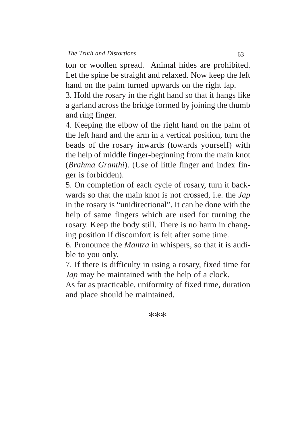ton or woollen spread. Animal hides are prohibited. Let the spine be straight and relaxed. Now keep the left hand on the palm turned upwards on the right lap.

3. Hold the rosary in the right hand so that it hangs like a garland across the bridge formed by joining the thumb and ring finger.

4. Keeping the elbow of the right hand on the palm of the left hand and the arm in a vertical position, turn the beads of the rosary inwards (towards yourself) with the help of middle finger-beginning from the main knot (*Brahma Granthi*). (Use of little finger and index finger is forbidden).

5. On completion of each cycle of rosary, turn it backwards so that the main knot is not crossed, i.e. the *Jap* in the rosary is "unidirectional". It can be done with the help of same fingers which are used for turning the rosary. Keep the body still. There is no harm in changing position if discomfort is felt after some time.

6. Pronounce the *Mantra* in whispers, so that it is audible to you only.

7. If there is difficulty in using a rosary, fixed time for *Jap* may be maintained with the help of a clock.

As far as practicable, uniformity of fixed time, duration and place should be maintained.

\*\*\*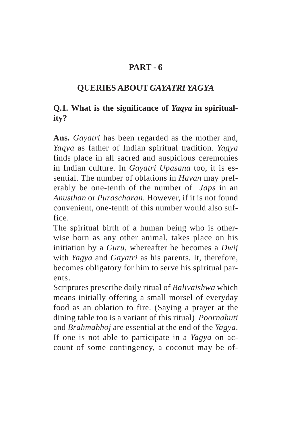# **PART - 6**

## **QUERIES ABOUT** *GAYATRI YAGYA*

# **Q.1. What is the significance of** *Yagya* **in spirituality?**

**Ans.** *Gayatri* has been regarded as the mother and, *Yagya* as father of Indian spiritual tradition. *Yagya* finds place in all sacred and auspicious ceremonies in Indian culture. In *Gayatri Upasana* too, it is essential. The number of oblations in *Havan* may preferably be one-tenth of the number of *Japs* in an *Anusthan* or *Purascharan*. However, if it is not found convenient, one-tenth of this number would also suffice.

The spiritual birth of a human being who is otherwise born as any other animal, takes place on his initiation by a *Guru*, whereafter he becomes a *Dwij* with *Yagya* and *Gayatri* as his parents. It, therefore, becomes obligatory for him to serve his spiritual parents.

Scriptures prescribe daily ritual of *Balivaishwa* which means initially offering a small morsel of everyday food as an oblation to fire. (Saying a prayer at the dining table too is a variant of this ritual) *Poornahuti* and *Brahmabhoj* are essential at the end of the *Yagya*. If one is not able to participate in a *Yagya* on account of some contingency, a coconut may be of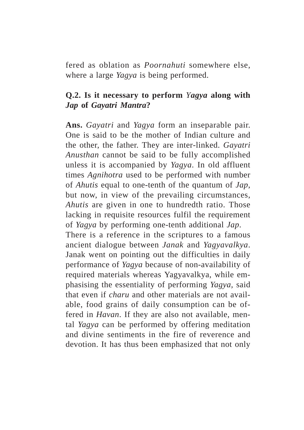fered as oblation as *Poornahuti* somewhere else, where a large *Yagya* is being performed.

## **Q.2. Is it necessary to perform** *Yagya* **along with** *Jap* **of** *Gayatri Mantra***?**

**Ans.** *Gayatri* and *Yagya* form an inseparable pair. One is said to be the mother of Indian culture and the other, the father. They are inter-linked. *Gayatri Anusthan* cannot be said to be fully accomplished unless it is accompanied by *Yagya*. In old affluent times *Agnihotra* used to be performed with number of *Ahutis* equal to one-tenth of the quantum of *Jap*, but now, in view of the prevailing circumstances, *Ahutis* are given in one to hundredth ratio. Those lacking in requisite resources fulfil the requirement of *Yagya* by performing one-tenth additional *Jap*.

There is a reference in the scriptures to a famous ancient dialogue between *Janak* and *Yagyavalkya*. Janak went on pointing out the difficulties in daily performance of *Yagya* because of non-availability of required materials whereas Yagyavalkya, while emphasising the essentiality of performing *Yagya,* said that even if *charu* and other materials are not available, food grains of daily consumption can be offered in *Havan*. If they are also not available, mental *Yagya* can be performed by offering meditation and divine sentiments in the fire of reverence and devotion. It has thus been emphasized that not only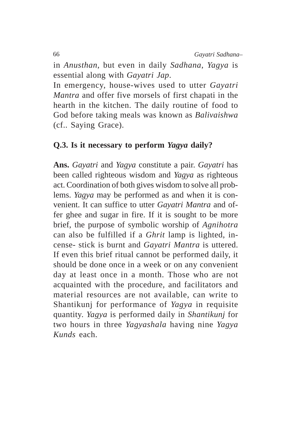in *Anusthan*, but even in daily *Sadhana*, *Yagya* is essential along with *Gayatri Jap*.

In emergency, house-wives used to utter *Gayatri Mantra* and offer five morsels of first chapati in the hearth in the kitchen. The daily routine of food to God before taking meals was known as *Balivaishwa* (cf.. Saying Grace).

#### **Q.3. Is it necessary to perform** *Yagya* **daily?**

**Ans.** *Gayatri* and *Yagya* constitute a pair. *Gayatri* has been called righteous wisdom and *Yagya* as righteous act. Coordination of both gives wisdom to solve all problems. *Yagya* may be performed as and when it is convenient. It can suffice to utter *Gayatri Mantra* and offer ghee and sugar in fire. If it is sought to be more brief, the purpose of symbolic worship of *Agnihotra* can also be fulfilled if a *Ghrit* lamp is lighted, incense- stick is burnt and *Gayatri Mantra* is uttered. If even this brief ritual cannot be performed daily, it should be done once in a week or on any convenient day at least once in a month. Those who are not acquainted with the procedure, and facilitators and material resources are not available, can write to Shantikunj for performance of *Yagya* in requisite quantity. *Yagya* is performed daily in *Shantikunj* for two hours in three *Yagyashala* having nine *Yagya Kunds* each.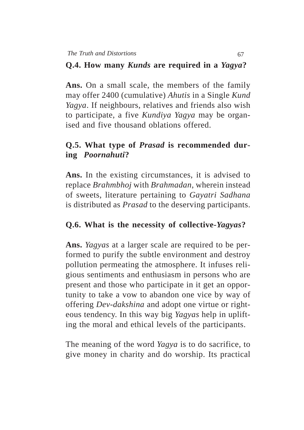## **Q.4. How many** *Kunds* **are required in a** *Yagya***?**

**Ans.** On a small scale, the members of the family may offer 2400 (cumulative) *Ahutis* in a Single *Kund Yagya*. If neighbours, relatives and friends also wish to participate, a five *Kundiya Yagya* may be organised and five thousand oblations offered.

# **Q.5. What type of** *Prasad* **is recommended during** *Poornahuti***?**

**Ans.** In the existing circumstances, it is advised to replace *Brahmbhoj* with *Brahmadan*, wherein instead of sweets, literature pertaining to *Gayatri Sadhana* is distributed as *Prasad* to the deserving participants.

## **Q.6. What is the necessity of collective-***Yagyas***?**

**Ans.** *Yagyas* at a larger scale are required to be performed to purify the subtle environment and destroy pollution permeating the atmosphere. It infuses religious sentiments and enthusiasm in persons who are present and those who participate in it get an opportunity to take a vow to abandon one vice by way of offering *Dev*-*dakshina* and adopt one virtue or righteous tendency. In this way big *Yagyas* help in uplifting the moral and ethical levels of the participants.

The meaning of the word *Yagya* is to do sacrifice, to give money in charity and do worship. Its practical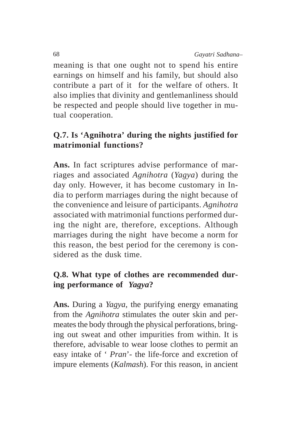meaning is that one ought not to spend his entire earnings on himself and his family, but should also contribute a part of it for the welfare of others. It also implies that divinity and gentlemanliness should be respected and people should live together in mutual cooperation.

# **Q.7. Is 'Agnihotra' during the nights justified for matrimonial functions?**

**Ans.** In fact scriptures advise performance of marriages and associated *Agnihotra* (*Yagya*) during the day only. However, it has become customary in India to perform marriages during the night because of the convenience and leisure of participants. *Agnihotra* associated with matrimonial functions performed during the night are, therefore, exceptions. Although marriages during the night have become a norm for this reason, the best period for the ceremony is considered as the dusk time.

# **Q.8. What type of clothes are recommended during performance of** *Yagya***?**

**Ans.** During a *Yagya*, the purifying energy emanating from the *Agnihotra* stimulates the outer skin and permeates the body through the physical perforations, bringing out sweat and other impurities from within. It is therefore, advisable to wear loose clothes to permit an easy intake of ' *Pran*'- the life-force and excretion of impure elements (*Kalmash*). For this reason, in ancient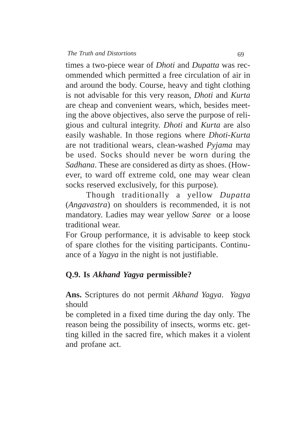times a two-piece wear of *Dhoti* and *Dupatta* was recommended which permitted a free circulation of air in and around the body. Course, heavy and tight clothing is not advisable for this very reason, *Dhoti* and *Kurta* are cheap and convenient wears, which, besides meeting the above objectives, also serve the purpose of religious and cultural integrity. *Dhoti* and *Kurta* are also easily washable. In those regions where *Dhoti*-*Kurta* are not traditional wears, clean-washed *Pyjama* may be used. Socks should never be worn during the *Sadhana*. These are considered as dirty as shoes. (However, to ward off extreme cold, one may wear clean socks reserved exclusively, for this purpose).

Though traditionally a yellow *Dupatta* (*Angavastra*) on shoulders is recommended, it is not mandatory. Ladies may wear yellow *Saree* or a loose traditional wear.

For Group performance, it is advisable to keep stock of spare clothes for the visiting participants. Continuance of a *Yagya* in the night is not justifiable.

### **Q.9. Is** *Akhand Yagya* **permissible?**

**Ans.** Scriptures do not permit *Akhand Yagya*. *Yagya* should

be completed in a fixed time during the day only. The reason being the possibility of insects, worms etc. getting killed in the sacred fire, which makes it a violent and profane act.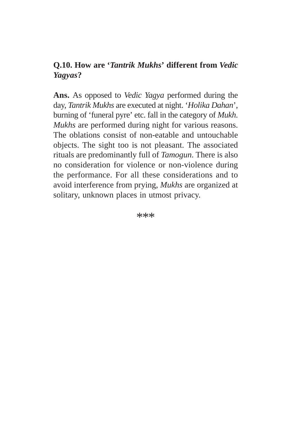# **Q.10. How are '***Tantrik Mukhs***' different from** *Vedic Yagyas***?**

**Ans.** As opposed to *Vedic Yagya* performed during the day, *Tantrik Mukhs* are executed at night. '*Holika Dahan*', burning of 'funeral pyre' etc. fall in the category of *Mukh*. *Mukhs* are performed during night for various reasons. The oblations consist of non-eatable and untouchable objects. The sight too is not pleasant. The associated rituals are predominantly full of *Tamogun*. There is also no consideration for violence or non-violence during the performance. For all these considerations and to avoid interference from prying, *Mukhs* are organized at solitary, unknown places in utmost privacy.

\*\*\*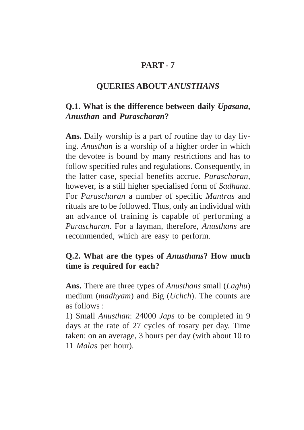## **PART - 7**

#### **QUERIES ABOUT** *ANUSTHANS*

# **Q.1. What is the difference between daily** *Upasana***,** *Anusthan* **and** *Purascharan***?**

**Ans.** Daily worship is a part of routine day to day living. *Anusthan* is a worship of a higher order in which the devotee is bound by many restrictions and has to follow specified rules and regulations. Consequently, in the latter case, special benefits accrue. *Purascharan*, however, is a still higher specialised form of *Sadhana*. For *Purascharan* a number of specific *Mantras* and rituals are to be followed. Thus, only an individual with an advance of training is capable of performing a *Purascharan*. For a layman, therefore, *Anusthans* are recommended, which are easy to perform.

## **Q.2. What are the types of** *Anusthans***? How much time is required for each?**

**Ans.** There are three types of *Anusthans* small (*Laghu*) medium (*madhyam*) and Big (*Uchch*). The counts are as follows :

1) Small *Anusthan*: 24000 *Japs* to be completed in 9 days at the rate of 27 cycles of rosary per day. Time taken: on an average, 3 hours per day (with about 10 to 11 *Malas* per hour).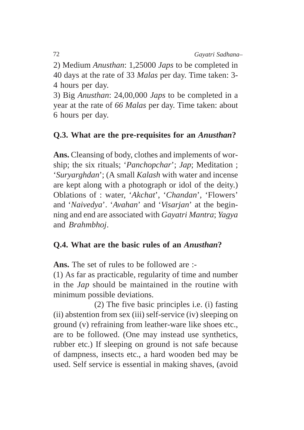2) Medium *Anusthan*: 1,25000 *Japs* to be completed in 40 days at the rate of 33 *Malas* per day. Time taken: 3- 4 hours per day.

3) Big *Anusthan*: 24,00,000 *Japs* to be completed in a year at the rate of *66 Malas* per day. Time taken: about 6 hours per day.

# **Q.3. What are the pre-requisites for an** *Anusthan***?**

**Ans.** Cleansing of body, clothes and implements of worship; the six rituals; '*Panchopchar*'; *Jap*; Meditation ; '*Suryarghdan*'; (A small *Kalash* with water and incense are kept along with a photograph or idol of the deity.) Oblations of : water, '*Akchat*', '*Chandan*', 'Flowers' and '*Naivedya*'. '*Avahan*' and '*Visarjan*' at the beginning and end are associated with *Gayatri Mantra*; *Yagya* and *Brahmbhoj*.

## **Q.4. What are the basic rules of an** *Anusthan***?**

**Ans.** The set of rules to be followed are :-

(1) As far as practicable, regularity of time and number in the *Jap* should be maintained in the routine with minimum possible deviations.

(2) The five basic principles i.e. (i) fasting (ii) abstention from sex (iii) self-service (iv) sleeping on ground (v) refraining from leather-ware like shoes etc., are to be followed. (One may instead use synthetics, rubber etc.) If sleeping on ground is not safe because of dampness, insects etc., a hard wooden bed may be used. Self service is essential in making shaves, (avoid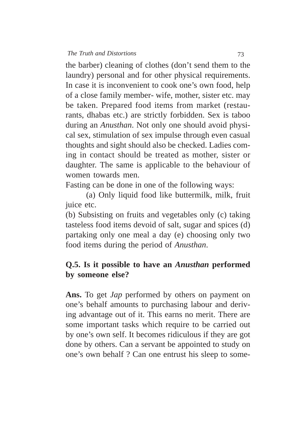the barber) cleaning of clothes (don't send them to the laundry) personal and for other physical requirements. In case it is inconvenient to cook one's own food, help of a close family member- wife, mother, sister etc. may be taken. Prepared food items from market (restaurants, dhabas etc.) are strictly forbidden. Sex is taboo during an *Anusthan*. Not only one should avoid physical sex, stimulation of sex impulse through even casual thoughts and sight should also be checked. Ladies coming in contact should be treated as mother, sister or daughter. The same is applicable to the behaviour of women towards men.

Fasting can be done in one of the following ways:

(a) Only liquid food like buttermilk, milk, fruit juice etc.

(b) Subsisting on fruits and vegetables only (c) taking tasteless food items devoid of salt, sugar and spices (d) partaking only one meal a day (e) choosing only two food items during the period of *Anusthan*.

#### **Q.5. Is it possible to have an** *Anusthan* **performed by someone else?**

**Ans.** To get *Jap* performed by others on payment on one's behalf amounts to purchasing labour and deriving advantage out of it. This earns no merit. There are some important tasks which require to be carried out by one's own self. It becomes ridiculous if they are got done by others. Can a servant be appointed to study on one's own behalf ? Can one entrust his sleep to some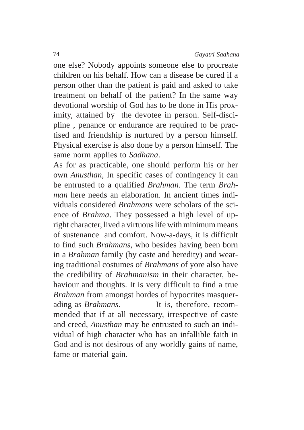one else? Nobody appoints someone else to procreate children on his behalf. How can a disease be cured if a person other than the patient is paid and asked to take treatment on behalf of the patient? In the same way devotional worship of God has to be done in His proximity, attained by the devotee in person. Self-discipline , penance or endurance are required to be practised and friendship is nurtured by a person himself. Physical exercise is also done by a person himself. The same norm applies to *Sadhana*.

As for as practicable, one should perform his or her own *Anusthan*, In specific cases of contingency it can be entrusted to a qualified *Brahman*. The term *Brahman* here needs an elaboration. In ancient times individuals considered *Brahmans* were scholars of the science of *Brahma*. They possessed a high level of upright character, lived a virtuous life with minimum means of sustenance and comfort. Now-a-days, it is difficult to find such *Brahmans*, who besides having been born in a *Brahman* family (by caste and heredity) and wearing traditional costumes of *Brahmans* of yore also have the credibility of *Brahmanism* in their character, behaviour and thoughts. It is very difficult to find a true *Brahman* from amongst hordes of hypocrites masquerading as *Brahmans*. It is, therefore, recommended that if at all necessary, irrespective of caste and creed, *Anusthan* may be entrusted to such an individual of high character who has an infallible faith in God and is not desirous of any worldly gains of name, fame or material gain.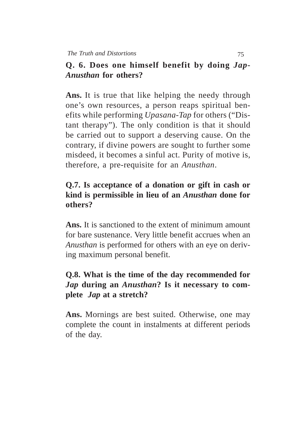# **Q. 6. Does one himself benefit by doing** *Jap***-***Anusthan* **for others?**

**Ans.** It is true that like helping the needy through one's own resources, a person reaps spiritual benefits while performing *Upasana*-*Tap* for others ("Distant therapy"). The only condition is that it should be carried out to support a deserving cause. On the contrary, if divine powers are sought to further some misdeed, it becomes a sinful act. Purity of motive is, therefore, a pre-requisite for an *Anusthan*.

# **Q.7. Is acceptance of a donation or gift in cash or kind is permissible in lieu of an** *Anusthan* **done for others?**

**Ans.** It is sanctioned to the extent of minimum amount for bare sustenance. Very little benefit accrues when an *Anusthan* is performed for others with an eye on deriving maximum personal benefit.

# **Q.8. What is the time of the day recommended for** *Jap* **during an** *Anusthan***? Is it necessary to complete** *Jap* **at a stretch?**

**Ans.** Mornings are best suited. Otherwise, one may complete the count in instalments at different periods of the day.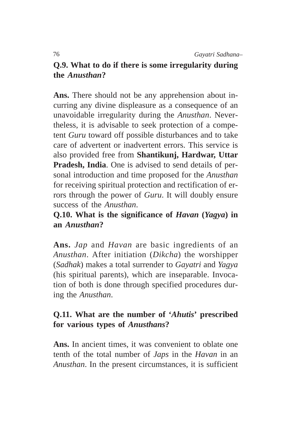# **Q.9. What to do if there is some irregularity during the** *Anusthan***?**

**Ans.** There should not be any apprehension about incurring any divine displeasure as a consequence of an unavoidable irregularity during the *Anusthan*. Nevertheless, it is advisable to seek protection of a competent *Guru* toward off possible disturbances and to take care of advertent or inadvertent errors. This service is also provided free from **Shantikunj, Hardwar, Uttar Pradesh, India**. One is advised to send details of personal introduction and time proposed for the *Anusthan* for receiving spiritual protection and rectification of errors through the power of *Guru*. It will doubly ensure success of the *Anusthan*.

### **Q.10. What is the significance of** *Havan* **(***Yagya***) in an** *Anusthan***?**

**Ans.** *Jap* and *Havan* are basic ingredients of an *Anusthan*. After initiation (*Dikcha*) the worshipper (*Sadhak*) makes a total surrender to *Gayatri* and *Yagya* (his spiritual parents), which are inseparable. Invocation of both is done through specified procedures during the *Anusthan*.

## **Q.11. What are the number of '***Ahutis***' prescribed for various types of** *Anusthans***?**

Ans. In ancient times, it was convenient to oblate one tenth of the total number of *Japs* in the *Havan* in an *Anusthan*. In the present circumstances, it is sufficient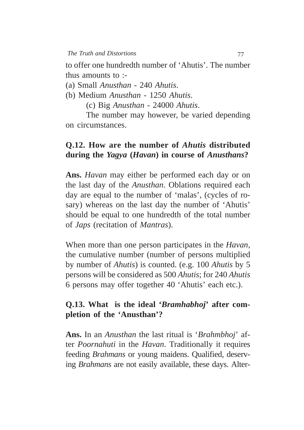to offer one hundredth number of 'Ahutis'. The number thus amounts to :-

(a) Small *Anusthan* - 240 *Ahutis*.

(b) Medium *Anusthan* - 1250 *Ahutis*.

(c) Big *Anusthan* - 24000 *Ahutis*.

The number may however, be varied depending on circumstances.

#### **Q.12. How are the number of** *Ahutis* **distributed during the** *Yagya* **(***Havan***) in course of** *Anusthans***?**

**Ans.** *Havan* may either be performed each day or on the last day of the *Anusthan*. Oblations required each day are equal to the number of 'malas', (cycles of rosary) whereas on the last day the number of 'Ahutis' should be equal to one hundredth of the total number of *Japs* (recitation of *Mantras*).

When more than one person participates in the *Havan*, the cumulative number (number of persons multiplied by number of *Ahutis*) is counted. (e.g. 100 *Ahutis* by 5 persons will be considered as 500 *Ahutis*; for 240 *Ahutis* 6 persons may offer together 40 'Ahutis' each etc.).

## **Q.13. What is the ideal '***Bramhabhoj***' after completion of the 'Anusthan'?**

**Ans.** In an *Anusthan* the last ritual is '*Brahmbhoj*' after *Poornahuti* in the *Havan*. Traditionally it requires feeding *Brahmans* or young maidens. Qualified, deserving *Brahmans* are not easily available, these days. Alter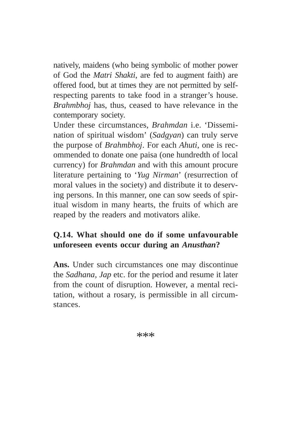natively, maidens (who being symbolic of mother power of God the *Matri Shakti*, are fed to augment faith) are offered food, but at times they are not permitted by selfrespecting parents to take food in a stranger's house. *Brahmbhoj* has, thus, ceased to have relevance in the contemporary society.

Under these circumstances, *Brahmdan* i.e. 'Dissemination of spiritual wisdom' (*Sadgyan*) can truly serve the purpose of *Brahmbhoj*. For each *Ahuti*, one is recommended to donate one paisa (one hundredth of local currency) for *Brahmdan* and with this amount procure literature pertaining to '*Yug Nirman*' (resurrection of moral values in the society) and distribute it to deserving persons. In this manner, one can sow seeds of spiritual wisdom in many hearts, the fruits of which are reaped by the readers and motivators alike.

# **Q.14. What should one do if some unfavourable unforeseen events occur during an** *Anusthan***?**

**Ans.** Under such circumstances one may discontinue the *Sadhana*, *Jap* etc. for the period and resume it later from the count of disruption. However, a mental recitation, without a rosary, is permissible in all circumstances.

\*\*\*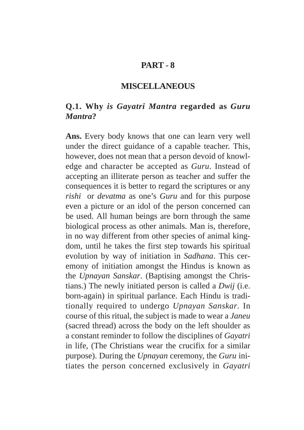#### **PART - 8**

#### **MISCELLANEOUS**

### **Q.1. Why** *is Gayatri Mantra* **regarded as** *Guru Mantra***?**

**Ans.** Every body knows that one can learn very well under the direct guidance of a capable teacher. This, however, does not mean that a person devoid of knowledge and character be accepted as *Guru*. Instead of accepting an illiterate person as teacher and suffer the consequences it is better to regard the scriptures or any *rishi* or *devatma* as one's *Guru* and for this purpose even a picture or an idol of the person concerned can be used. All human beings are born through the same biological process as other animals. Man is, therefore, in no way different from other species of animal kingdom, until he takes the first step towards his spiritual evolution by way of initiation in *Sadhana*. This ceremony of initiation amongst the Hindus is known as the *Upnayan Sanskar*. (Baptising amongst the Christians.) The newly initiated person is called a *Dwij* (i.e. born-again) in spiritual parlance. Each Hindu is traditionally required to undergo *Upnayan Sanskar*. In course of this ritual, the subject is made to wear a *Janeu* (sacred thread) across the body on the left shoulder as a constant reminder to follow the disciplines of *Gayatri* in life, (The Christians wear the crucifix for a similar purpose). During the *Upnayan* ceremony, the *Guru* initiates the person concerned exclusively in *Gayatri*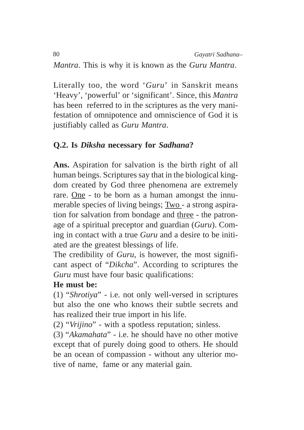*Mantra*. This is why it is known as the *Guru Mantra*.

Literally too, the word '*Guru*' in Sanskrit means 'Heavy', 'powerful' or 'significant'. Since, this *Mantra* has been referred to in the scriptures as the very manifestation of omnipotence and omniscience of God it is justifiably called as *Guru Mantra*.

# **Q.2. Is** *Diksha* **necessary for** *Sadhana***?**

**Ans.** Aspiration for salvation is the birth right of all human beings. Scriptures say that in the biological kingdom created by God three phenomena are extremely rare. One - to be born as a human amongst the innumerable species of living beings; Two - a strong aspiration for salvation from bondage and three - the patronage of a spiritual preceptor and guardian (*Guru*). Coming in contact with a true *Guru* and a desire to be initiated are the greatest blessings of life.

The credibility of *Guru*, is however, the most significant aspect of "*Dikcha*". According to scriptures the *Guru* must have four basic qualifications:

#### **He must be:**

(1) "*Shrotiya*" - i.e. not only well-versed in scriptures but also the one who knows their subtle secrets and has realized their true import in his life.

(2) "*Vrijino*" - with a spotless reputation; sinless.

(3) "*Akamahata*" - i.e. he should have no other motive except that of purely doing good to others. He should be an ocean of compassion - without any ulterior motive of name, fame or any material gain.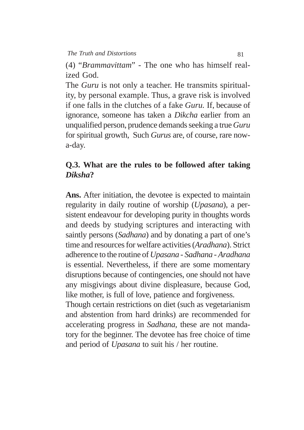(4) "*Brammavittam*" - The one who has himself realized God.

The *Guru* is not only a teacher. He transmits spirituality, by personal example. Thus, a grave risk is involved if one falls in the clutches of a fake *Guru.* If, because of ignorance, someone has taken a *Dikcha* earlier from an unqualified person, prudence demands seeking a true *Guru* for spiritual growth, Such *Gurus* are, of course, rare nowa-day.

#### **Q.3. What are the rules to be followed after taking** *Diksha***?**

**Ans.** After initiation, the devotee is expected to maintain regularity in daily routine of worship (*Upasana*), a persistent endeavour for developing purity in thoughts words and deeds by studying scriptures and interacting with saintly persons (*Sadhana*) and by donating a part of one's time and resources for welfare activities (*Aradhana*). Strict adherence to the routine of *Upasana* - *Sadhana* - *Aradhana* is essential. Nevertheless, if there are some momentary disruptions because of contingencies, one should not have any misgivings about divine displeasure, because God, like mother, is full of love, patience and forgiveness.

Though certain restrictions on diet (such as vegetarianism and abstention from hard drinks) are recommended for accelerating progress in *Sadhana*, these are not mandatory for the beginner. The devotee has free choice of time and period of *Upasana* to suit his / her routine.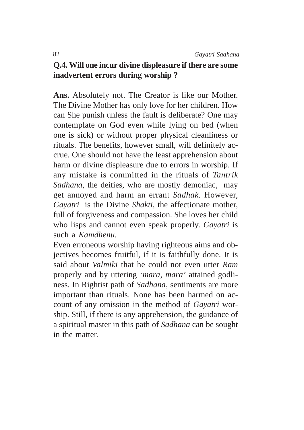# **Q.4. Will one incur divine displeasure if there are some inadvertent errors during worship ?**

**Ans.** Absolutely not. The Creator is like our Mother. The Divine Mother has only love for her children. How can She punish unless the fault is deliberate? One may contemplate on God even while lying on bed (when one is sick) or without proper physical cleanliness or rituals. The benefits, however small, will definitely accrue. One should not have the least apprehension about harm or divine displeasure due to errors in worship. If any mistake is committed in the rituals of *Tantrik Sadhana*, the deities, who are mostly demoniac, may get annoyed and harm an errant *Sadhak.* However, *Gayatri* is the Divine *Shakti,* the affectionate mother, full of forgiveness and compassion. She loves her child who lisps and cannot even speak properly. *Gayatri* is such a *Kamdhenu*.

Even erroneous worship having righteous aims and objectives becomes fruitful, if it is faithfully done. It is said about *Valmiki* that he could not even utter *Ram* properly and by uttering '*mara*, *mara'* attained godliness. In Rightist path of *Sadhana*, sentiments are more important than rituals. None has been harmed on account of any omission in the method of *Gayatri* worship. Still, if there is any apprehension, the guidance of a spiritual master in this path of *Sadhana* can be sought in the matter.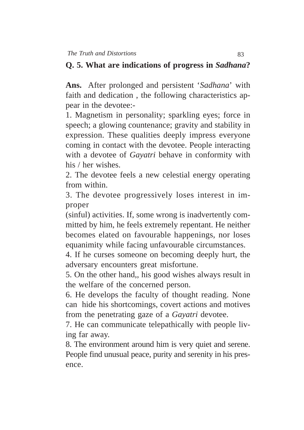#### **Q. 5. What are indications of progress in** *Sadhana***?**

**Ans.** After prolonged and persistent '*Sadhana*' with faith and dedication , the following characteristics appear in the devotee:-

1. Magnetism in personality; sparkling eyes; force in speech; a glowing countenance; gravity and stability in expression. These qualities deeply impress everyone coming in contact with the devotee. People interacting with a devotee of *Gayatri* behave in conformity with his / her wishes.

2. The devotee feels a new celestial energy operating from within.

3. The devotee progressively loses interest in improper

(sinful) activities. If, some wrong is inadvertently committed by him, he feels extremely repentant. He neither becomes elated on favourable happenings, nor loses equanimity while facing unfavourable circumstances.

4. If he curses someone on becoming deeply hurt, the adversary encounters great misfortune.

5. On the other hand,, his good wishes always result in the welfare of the concerned person.

6. He develops the faculty of thought reading. None can hide his shortcomings, covert actions and motives from the penetrating gaze of a *Gayatri* devotee.

7. He can communicate telepathically with people living far away.

8. The environment around him is very quiet and serene. People find unusual peace, purity and serenity in his presence.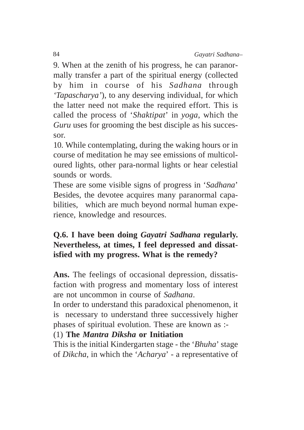9. When at the zenith of his progress, he can paranormally transfer a part of the spiritual energy (collected by him in course of his *Sadhana* through *'Tapascharya'*), to any deserving individual, for which the latter need not make the required effort. This is called the process of '*Shaktipat*' in *yoga*, which the *Guru* uses for grooming the best disciple as his successor.

10. While contemplating, during the waking hours or in course of meditation he may see emissions of multicoloured lights, other para-normal lights or hear celestial sounds or words.

These are some visible signs of progress in '*Sadhana*' Besides, the devotee acquires many paranormal capabilities, which are much beyond normal human experience, knowledge and resources.

# **Q.6. I have been doing** *Gayatri Sadhana* **regularly. Nevertheless, at times, I feel depressed and dissatisfied with my progress. What is the remedy?**

**Ans.** The feelings of occasional depression, dissatisfaction with progress and momentary loss of interest are not uncommon in course of *Sadhana*.

In order to understand this paradoxical phenomenon, it is necessary to understand three successively higher phases of spiritual evolution. These are known as :-

## (1) **The** *Mantra Diksha* **or Initiation**

This is the initial Kindergarten stage - the '*Bhuha*' stage of *Dikcha*, in which the '*Acharya*' - a representative of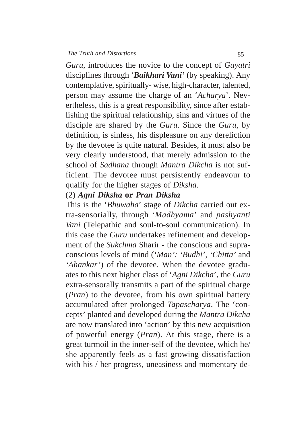*Guru*, introduces the novice to the concept of *Gayatri* disciplines through '*Baikhari Vani'* (by speaking). Any contemplative, spiritually- wise, high-character, talented, person may assume the charge of an '*Acharya*'. Nevertheless, this is a great responsibility, since after establishing the spiritual relationship, sins and virtues of the disciple are shared by the *Guru*. Since the *Guru*, by definition, is sinless, his displeasure on any dereliction by the devotee is quite natural. Besides, it must also be very clearly understood, that merely admission to the school of *Sadhana* through *Mantra Dikcha* is not sufficient. The devotee must persistently endeavour to qualify for the higher stages of *Diksha*.

#### (2) *Agni Diksha* **or** *Pran Diksha*

This is the '*Bhuwaha*' stage of *Dikcha* carried out extra-sensorially, through '*Madhyama*' and *pashyanti Vani* (Telepathic and soul-to-soul communication). In this case the *Guru* undertakes refinement and development of the *Sukchma* Sharir - the conscious and supraconscious levels of mind (*'Man': 'Budhi', 'Chitta'* and *'Ahankar'*) of the devotee. When the devotee graduates to this next higher class of '*Agni Dikcha*', the *Guru* extra-sensorally transmits a part of the spiritual charge (*Pran*) to the devotee, from his own spiritual battery accumulated after prolonged *Tapascharya*. The 'concepts' planted and developed during the *Mantra Dikcha* are now translated into 'action' by this new acquisition of powerful energy (*Pran*). At this stage, there is a great turmoil in the inner-self of the devotee, which he/ she apparently feels as a fast growing dissatisfaction with his / her progress, uneasiness and momentary de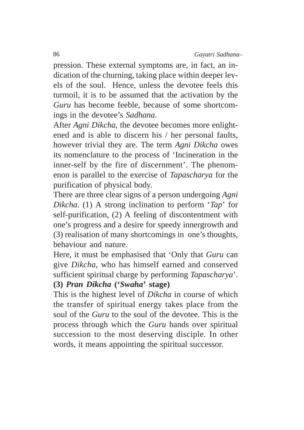pression. These external symptoms are, in fact, an indication of the churning, taking place within deeper levels of the soul. Hence, unless the devotee feels this turmoil, it is to be assumed that the activation by the *Guru* has become feeble, because of some shortcomings in the devotee's *Sadhana*.

After *Agni Dikcha*, the devotee becomes more enlightened and is able to discern his / her personal faults, however trivial they are. The term *Agni Dikcha* owes its nomenclature to the process of 'Incineration in the inner-self by the fire of discernment'. The phenomenon is parallel to the exercise of *Tapascharya* for the purification of physical body.

There are three clear signs of a person undergoing *Agni Dikcha*. (1) A strong inclination to perform '*Tap*' for self-purification, (2) A feeling of discontentment with one's progress and a desire for speedy innergrowth and (3) realisation of many shortcomings in one's thoughts, behaviour and nature.

Here, it must be emphasised that 'Only that *Guru* can give *Dikcha*, who has himself earned and conserved sufficient spiritual charge by performing *Tapascharya*'.

#### **(3)** *Pran Dikcha* **('***Swaha***' stage)**

This is the highest level of *Dikcha* in course of which the transfer of spiritual energy takes place from the soul of the *Guru* to the soul of the devotee. This is the process through which the *Guru* hands over spiritual succession to the most deserving disciple. In other words, it means appointing the spiritual successor.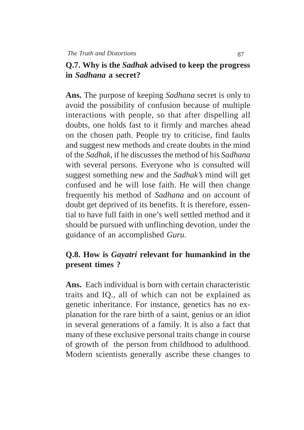## **Q.7. Why is the** *Sadhak* **advised to keep the progress in** *Sadhana* **a secret?**

**Ans.** The purpose of keeping *Sadhana* secret is only to avoid the possibility of confusion because of multiple interactions with people, so that after dispelling all doubts, one holds fast to it firmly and marches ahead on the chosen path. People try to criticise, find faults and suggest new methods and create doubts in the mind of the *Sadhak*, if he discusses the method of his *Sadhana* with several persons. Everyone who is consulted will suggest something new and the *Sadhak's* mind will get confused and he will lose faith. He will then change frequently his method of *Sadhana* and on account of doubt get deprived of its benefits. It is therefore, essential to have full faith in one's well settled method and it should be pursued with unflinching devotion, under the guidance of an accomplished *Guru*.

## **Q.8. How is** *Gayatri* **relevant for humankind in the present times ?**

**Ans.** Each individual is born with certain characteristic traits and IQ., all of which can not be explained as genetic inheritance. For instance, genetics has no explanation for the rare birth of a saint, genius or an idiot in several generations of a family. It is also a fact that many of these exclusive personal traits change in course of growth of the person from childhood to adulthood. Modern scientists generally ascribe these changes to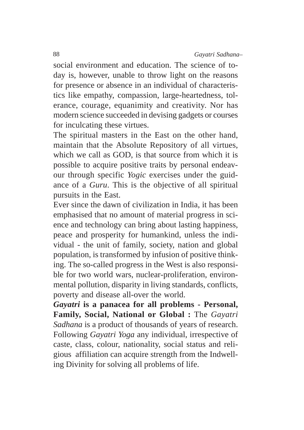social environment and education. The science of today is, however, unable to throw light on the reasons for presence or absence in an individual of characteristics like empathy, compassion, large-heartedness, tolerance, courage, equanimity and creativity. Nor has modern science succeeded in devising gadgets or courses for inculcating these virtues.

The spiritual masters in the East on the other hand, maintain that the Absolute Repository of all virtues, which we call as GOD, is that source from which it is possible to acquire positive traits by personal endeavour through specific *Yogic* exercises under the guidance of a *Guru*. This is the objective of all spiritual pursuits in the East.

Ever since the dawn of civilization in India, it has been emphasised that no amount of material progress in science and technology can bring about lasting happiness, peace and prosperity for humankind, unless the individual - the unit of family, society, nation and global population, is transformed by infusion of positive thinking. The so-called progress in the West is also responsible for two world wars, nuclear-proliferation, environmental pollution, disparity in living standards, conflicts, poverty and disease all-over the world.

*Gayatri* **is a panacea for all problems - Personal, Family, Social, National or Global :** The *Gayatri Sadhana* is a product of thousands of years of research. Following *Gayatri Yoga* any individual, irrespective of caste, class, colour, nationality, social status and religious affiliation can acquire strength from the Indwelling Divinity for solving all problems of life.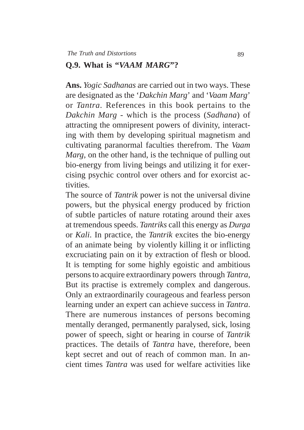#### **Q.9. What is "***VAAM MARG***"?**

**Ans.** *Yogic Sadhanas* are carried out in two ways. These are designated as the '*Dakchin Marg*' and '*Vaam Marg*' or *Tantra*. References in this book pertains to the *Dakchin Marg* - which is the process (*Sadhana*) of attracting the omnipresent powers of divinity, interacting with them by developing spiritual magnetism and cultivating paranormal faculties therefrom. The *Vaam Marg,* on the other hand, is the technique of pulling out bio-energy from living beings and utilizing it for exercising psychic control over others and for exorcist activities.

The source of *Tantrik* power is not the universal divine powers, but the physical energy produced by friction of subtle particles of nature rotating around their axes at tremendous speeds. *Tantriks* call this energy as *Durga* or *Kali*. In practice, the *Tantrik* excites the bio-energy of an animate being by violently killing it or inflicting excruciating pain on it by extraction of flesh or blood. It is tempting for some highly egoistic and ambitious persons to acquire extraordinary powers through *Tantra*, But its practise is extremely complex and dangerous. Only an extraordinarily courageous and fearless person learning under an expert can achieve success in *Tantra*. There are numerous instances of persons becoming mentally deranged, permanently paralysed, sick, losing power of speech, sight or hearing in course of *Tantrik* practices. The details of *Tantra* have, therefore, been kept secret and out of reach of common man. In ancient times *Tantra* was used for welfare activities like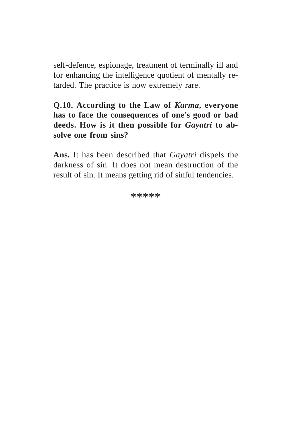self-defence, espionage, treatment of terminally ill and for enhancing the intelligence quotient of mentally retarded. The practice is now extremely rare.

**Q.10. According to the Law of** *Karma***, everyone has to face the consequences of one's good or bad deeds. How is it then possible for** *Gayatri* **to absolve one from sins?**

**Ans.** It has been described that *Gayatri* dispels the darkness of sin. It does not mean destruction of the result of sin. It means getting rid of sinful tendencies.

\*\*\*\*\*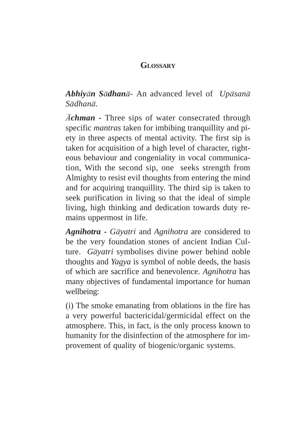#### **GLOSSARY**

*Abhiyn Sdhan*- An advanced level of *Upsan Sdhan.*

 $\bar{A}$ **chman** • Three sips of water consecrated through specific *mantras* taken for imbibing tranquillity and piety in three aspects of mental activity. The first sip is taken for acquisition of a high level of character, righteous behaviour and congeniality in vocal communication, With the second sip, one seeks strength from Almighty to resist evil thoughts from entering the mind and for acquiring tranquillity. The third sip is taken to seek purification in living so that the ideal of simple living, high thinking and dedication towards duty remains uppermost in life.

*Agnihotra* **-** *Gyatri* and *Agnihotra* are considered to be the very foundation stones of ancient Indian Culture. *G* $\bar{q}$ *yatri* symbolises divine power behind noble thoughts and *Yagya* is symbol of noble deeds, the basis of which are sacrifice and benevolence. *Agnihotra* has many objectives of fundamental importance for human wellbeing:

(i) The smoke emanating from oblations in the fire has a very powerful bactericidal/germicidal effect on the atmosphere. This, in fact, is the only process known to humanity for the disinfection of the atmosphere for improvement of quality of biogenic/organic systems.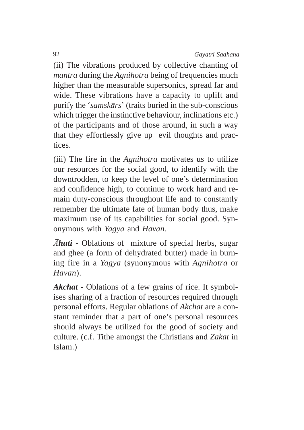(ii) The vibrations produced by collective chanting of *mantra* during the *Agnihotra* being of frequencies much higher than the measurable supersonics, spread far and wide. These vibrations have a capacity to uplift and purify the '*samskrs*' (traits buried in the sub-conscious which trigger the instinctive behaviour, inclinations etc.) of the participants and of those around, in such a way that they effortlessly give up evil thoughts and practices.

(iii) The fire in the *Agnihotra* motivates us to utilize our resources for the social good, to identify with the downtrodden, to keep the level of one's determination and confidence high, to continue to work hard and remain duty-conscious throughout life and to constantly remember the ultimate fate of human body thus, make maximum use of its capabilities for social good. Synonymous with *Yagya* and *Havan.*

*Ahuti* - Oblations of mixture of special herbs, sugar and ghee (a form of dehydrated butter) made in burning fire in a *Yagya* (synonymous with *Agnihotra* or *Havan*).

*Akchat* **-** Oblations of a few grains of rice. It symbolises sharing of a fraction of resources required through personal efforts. Regular oblations of *Akchat* are a constant reminder that a part of one's personal resources should always be utilized for the good of society and culture. (c.f. Tithe amongst the Christians and *Zakat* in Islam.)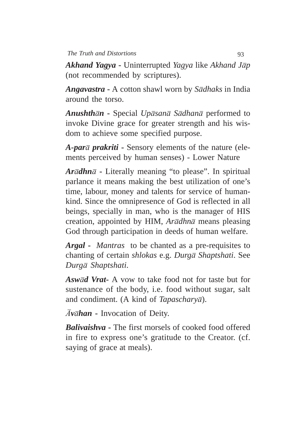*Akhand Yagya* **-** Uninterrupted *Yagya* like *Akhand Jp* (not recommended by scriptures).

*Angavastra* **-** A cotton shawl worn by *Sdhaks* in India around the torso.

*Anushthn* **-** Special *Upsan Sdhan* performed to invoke Divine grace for greater strength and his wisdom to achieve some specified purpose.

*A-par prakriti* **-** Sensory elements of the nature (elements perceived by human senses) - Lower Nature

 $A\vec{r}$  *Ar* $\bar{a}$ *dhn* $\bar{a}$  - Literally meaning "to please". In spiritual parlance it means making the best utilization of one's time, labour, money and talents for service of humankind. Since the omnipresence of God is reflected in all beings, specially in man, who is the manager of HIS creation, appointed by HIM, *Ar* $\bar{a}$ *dhn* $\bar{a}$  means pleasing God through participation in deeds of human welfare.

*Argal* **-** *Mantras* to be chanted as a pre-requisites to chanting of certain *shlokas* e.g. *Durg Shaptshati*. See *Durg Shaptshati.*

*Aswd Vrat***-** A vow to take food not for taste but for sustenance of the body, i.e. food without sugar, salt and condiment. (A kind of *Tapascharya*).

 $\bar{A}$ v $\bar{a}$ *han* - Invocation of Deity.

*Balivaishva* **-** The first morsels of cooked food offered in fire to express one's gratitude to the Creator. (cf. saying of grace at meals).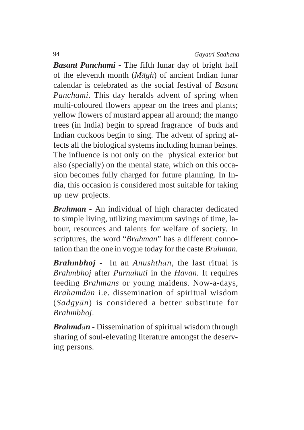*Basant Panchami* **-** The fifth lunar day of bright half of the eleventh month (*Mgh*) of ancient Indian lunar calendar is celebrated as the social festival of *Basant Panchami*. This day heralds advent of spring when multi-coloured flowers appear on the trees and plants; yellow flowers of mustard appear all around; the mango trees (in India) begin to spread fragrance of buds and Indian cuckoos begin to sing. The advent of spring affects all the biological systems including human beings. The influence is not only on the physical exterior but also (specially) on the mental state, which on this occasion becomes fully charged for future planning. In India, this occasion is considered most suitable for taking up new projects.

*Brhman* **-** An individual of high character dedicated to simple living, utilizing maximum savings of time, labour, resources and talents for welfare of society. In scriptures, the word "*Brhman*" has a different connotation than the one in vogue today for the caste *Brhman.*

*Brahmbhoj* **-** In an *Anushthn,* the last ritual is *Brahmbhoj* after *Purnhuti* in the *Havan.* It requires feeding *Brahmans* or young maidens. Now-a-days, *Brahamdn* i.e. dissemination of spiritual wisdom (*Sadgyn*) is considered a better substitute for *Brahmbhoj*.

*Brahmdn* - Dissemination of spiritual wisdom through sharing of soul-elevating literature amongst the deserving persons.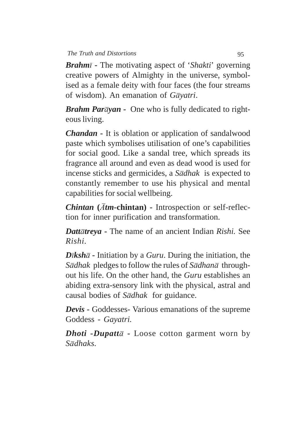*Brahm* **-** The motivating aspect of '*Shakti*' governing creative powers of Almighty in the universe, symbolised as a female deity with four faces (the four streams of wisdom). An emanation of *Gyatri*.

*Brahm Paryan* **-** One who is fully dedicated to righteous living.

*Chandan* **-** It is oblation or application of sandalwood paste which symbolises utilisation of one's capabilities for social good. Like a sandal tree, which spreads its fragrance all around and even as dead wood is used for incense sticks and germicides, a *S* $\overline{a}$ *dhak* is expected to constantly remember to use his physical and mental capabilities for social wellbeing.

**Chintan** (*Atm*-chintan) - Introspection or self-reflection for inner purification and transformation.

*Datttreya* **-** The name of an ancient Indian *Rishi.* See *Rishi.*

*D* $iksh\bar{a}$  - Initiation by a *Guru*. During the initiation, the *S* $\bar{a}$ *dhak* pledges to follow the rules of *S* $\bar{a}$ *dhan* $\bar{a}$  throughout his life. On the other hand, the *Guru* establishes an abiding extra-sensory link with the physical, astral and causal bodies of *S* $\overline{a}$ *dhak* for guidance.

*Devis* **-** Goddesses- Various emanations of the supreme Goddess - *Gayatri.*

*Dhoti* -*Dupatt* $\bar{a}$  - Loose cotton garment worn by *Sdhaks.*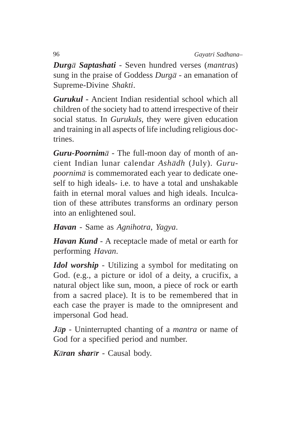*Durg Saptashati* - Seven hundred verses (*mantras*) sung in the praise of Goddess *Durg* - an emanation of Supreme-Divine *Shakti*.

*Gurukul* **-** Ancient Indian residential school which all children of the society had to attend irrespective of their social status. In *Gurukuls*, they were given education and training in all aspects of life including religious doctrines.

*Guru-Poornim* - The full-moon day of month of ancient Indian lunar calendar *Ashdh* (July). *Gurupoornim* $\bar{a}$  is commemorated each year to dedicate oneself to high ideals- i.e. to have a total and unshakable faith in eternal moral values and high ideals. Inculcation of these attributes transforms an ordinary person into an enlightened soul.

*Havan* - Same as *Agnihotra*, *Yagya*.

*Havan Kund -* A receptacle made of metal or earth for performing *Havan*.

*Idol worship* - Utilizing a symbol for meditating on God. (e.g., a picture or idol of a deity, a crucifix, a natural object like sun, moon, a piece of rock or earth from a sacred place). It is to be remembered that in each case the prayer is made to the omnipresent and impersonal God head.

*Jp* - Uninterrupted chanting of a *mantra* or name of God for a specified period and number.

*Kran sharr* - Causal body.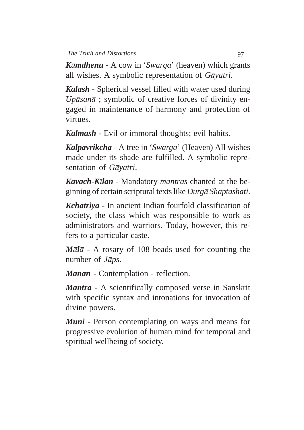*Kmdhenu* - A cow in '*Swarga*' (heaven) which grants all wishes. A symbolic representation of *G* $\bar{a}$ *yatri*.

*Kalash* - Spherical vessel filled with water used during *Upsan* ; symbolic of creative forces of divinity engaged in maintenance of harmony and protection of virtues.

*Kalmash* **-** Evil or immoral thoughts; evil habits.

*Kalpavrikcha* - A tree in '*Swarga*' (Heaven) All wishes made under its shade are fulfilled. A symbolic representation of *G* $\bar{a}$ *yatri*.

*Kavach***-***Klan* - Mandatory *mantras* chanted at the beginning of certain scriptural texts like *Durg Shaptashati*.

*Kchatriya* **-** In ancient Indian fourfold classification of society, the class which was responsible to work as administrators and warriors. Today, however, this refers to a particular caste.

 $M\bar{a}\bar{d}\bar{a}$  - A rosary of 108 beads used for counting the number of *Japs*.

*Manan* **-** Contemplation - reflection.

*Mantra* **-** A scientifically composed verse in Sanskrit with specific syntax and intonations for invocation of divine powers.

*Muni* - Person contemplating on ways and means for progressive evolution of human mind for temporal and spiritual wellbeing of society.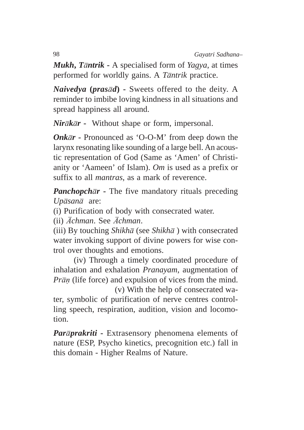*Mukh***,** *Tntrik* **-** A specialised form of *Yagya*, at times performed for worldly gains. A *Tntrik* practice.

*Naivedya* **(***prasd***) -** Sweets offered to the deity. A reminder to imbibe loving kindness in all situations and spread happiness all around.

*Nirkr* **-** Without shape or form, impersonal.

*Onkr* **-** Pronounced as 'O-O-M' from deep down the larynx resonating like sounding of a large bell. An acoustic representation of God (Same as 'Amen' of Christianity or 'Aameen' of Islam). *Om* is used as a prefix or suffix to all *mantras*, as a mark of reverence.

*Panchopchr* **-** The five mandatory rituals preceding *Upsan* are:

(i) Purification of body with consecrated water.

(ii)  $\bar{A}$ *chman*. See  $\bar{A}$ *chman*.

(iii) By touching *Shikha* (see *Shikha*) with consecrated water invoking support of divine powers for wise control over thoughts and emotions.

(iv) Through a timely coordinated procedure of inhalation and exhalation *Pranayam*, augmentation of *Prān* (life force) and expulsion of vices from the mind.

(v) With the help of consecrated water, symbolic of purification of nerve centres controlling speech, respiration, audition, vision and locomotion.

*Parprakriti* **-** Extrasensory phenomena elements of nature (ESP, Psycho kinetics, precognition etc.) fall in this domain - Higher Realms of Nature.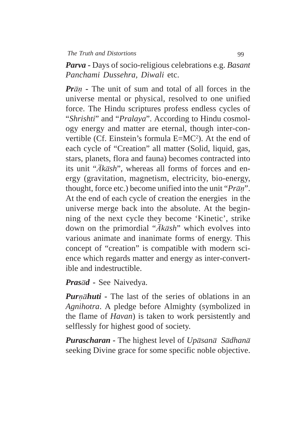*Parva* **-** Days of socio-religious celebrations e.g. *Basant Panchami Dussehra, Diwali* etc.

*Pr* $\bar{a}$  **-** The unit of sum and total of all forces in the universe mental or physical, resolved to one unified force. The Hindu scriptures profess endless cycles of "*Shrishti*" and "*Pralaya*". According to Hindu cosmology energy and matter are eternal, though inter-convertible (Cf. Einstein's formula E=MC<sup>2</sup>). At the end of each cycle of "Creation" all matter (Solid, liquid, gas, stars, planets, flora and fauna) becomes contracted into its unit " $\bar{A}k\bar{a}sh$ ", whereas all forms of forces and energy (gravitation, magnetism, electricity, bio-energy, thought, force etc.) become unified into the unit "*Prān*". At the end of each cycle of creation the energies in the universe merge back into the absolute. At the beginning of the next cycle they become 'Kinetic', strike down on the primordial " $\overline{A}k\overline{a}sh$ " which evolves into various animate and inanimate forms of energy. This concept of "creation" is compatible with modern science which regards matter and energy as inter-convertible and indestructible.

*Prasd* **-** See Naivedya.

*Purnāhuti* - The last of the series of oblations in an *Agnihotra*. A pledge before Almighty (symbolized in the flame of *Havan*) is taken to work persistently and selflessly for highest good of society.

*Purascharan* - The highest level of *Up* $\bar{a}$ *sana Sadhana* seeking Divine grace for some specific noble objective.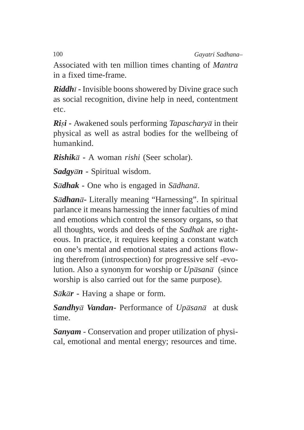Associated with ten million times chanting of *Mantra* in a fixed time-frame.

*Riddh***<sub>1</sub>** - Invisible boons showered by Divine grace such as social recognition, divine help in need, contentment etc.

*Rii* **-** Awakened souls performing *Tapaschary* in their physical as well as astral bodies for the wellbeing of humankind.

*Rishik* **-** A woman *rishi* (Seer scholar).

*Sadgyn* **-** Spiritual wisdom.

*Sdhak* **-** One who is engaged in *Sdhan*.

*Sdhan***-** Literally meaning "Harnessing". In spiritual parlance it means harnessing the inner faculties of mind and emotions which control the sensory organs, so that all thoughts, words and deeds of the *Sadhak* are righteous. In practice, it requires keeping a constant watch on one's mental and emotional states and actions flowing therefrom (introspection) for progressive self -evolution. Also a synonym for worship or *Up* $\bar{a}$ *san* (since worship is also carried out for the same purpose).

*Skr* **-** Having a shape or form.

*Sandhy Vandan***-** Performance of *Upsan* at dusk time.

*Sanyam* - Conservation and proper utilization of physical, emotional and mental energy; resources and time.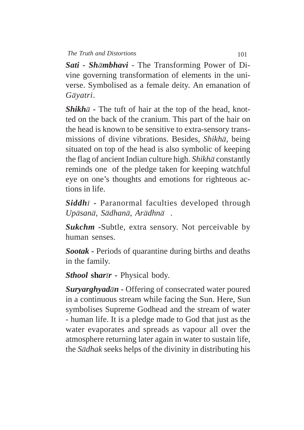*Sati* **-** *Shmbhavi* - The Transforming Power of Divine governing transformation of elements in the universe. Symbolised as a female deity. An emanation of *Gyatri*.

**Shikh** $\bar{a}$  - The tuft of hair at the top of the head, knotted on the back of the cranium. This part of the hair on the head is known to be sensitive to extra-sensory transmissions of divine vibrations. Besides, *Shikha*, being situated on top of the head is also symbolic of keeping the flag of ancient Indian culture high. *Shikha* constantly reminds one of the pledge taken for keeping watchful eye on one's thoughts and emotions for righteous actions in life.

**Siddh** $\bar{i}$  - Paranormal faculties developed through *Upsan, Sdhan, Ardhn .*

*Sukchm* **-**Subtle, extra sensory. Not perceivable by human senses.

*Sootak* **-** Periods of quarantine during births and deaths in the family.

*Sthool* **sh***arr* **-** Physical body.

*Suryarghyadn* **-** Offering of consecrated water poured in a continuous stream while facing the Sun. Here, Sun symbolises Supreme Godhead and the stream of water - human life. It is a pledge made to God that just as the water evaporates and spreads as vapour all over the atmosphere returning later again in water to sustain life, the *Sdhak* seeks helps of the divinity in distributing his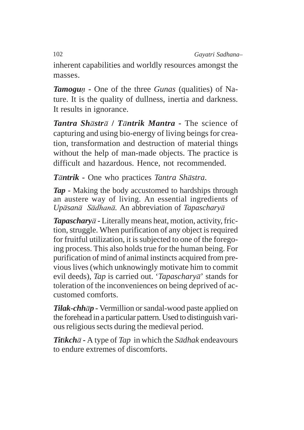inherent capabilities and worldly resources amongst the masses.

*Tamogu* **-** One of the three *Gunas* (qualities) of Nature. It is the quality of dullness, inertia and darkness. It results in ignorance.

*Tantra Shstr* **/** *Tntrik Mantra* **-** The science of capturing and using bio-energy of living beings for creation, transformation and destruction of material things without the help of man-made objects. The practice is difficult and hazardous. Hence, not recommended.

*Tntrik* **-** One who practices *Tantra Shstra*.

*Tap* **-** Making the body accustomed to hardships through an austere way of living. An essential ingredients of *Up* $\bar{a}$ *sadhanā*. An abbreviation of *Tapaschary* $\bar{a}$ 

*Tapaschary*  $\bar{a}$  - Literally means heat, motion, activity, friction, struggle. When purification of any object is required for fruitful utilization, it is subjected to one of the foregoing process. This also holds true for the human being. For purification of mind of animal instincts acquired from previous lives (which unknowingly motivate him to commit evil deeds), *Tap* is carried out. '*Tapaschary*<sup>7</sup>' stands for toleration of the inconveniences on being deprived of accustomed comforts.

*Tilak***-***chhp* **-** Vermillion or sandal-wood paste applied on the forehead in a particular pattern. Used to distinguish various religious sects during the medieval period.

**Titikch** $\bar{a}$  - A type of *Tap* in which the *S* $\bar{a}$ *dhak* endeavours to endure extremes of discomforts.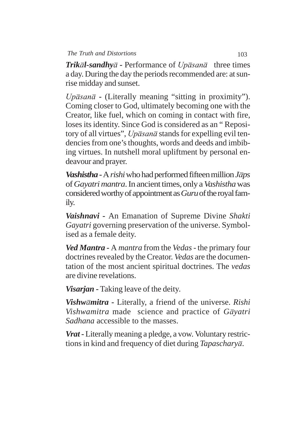**Trik** $\bar{a}$ *l***-sandhy** $\bar{a}$  **-** Performance of  $Up\bar{a}$ san $\bar{a}$  three times a day. During the day the periods recommended are: at sunrise midday and sunset.

Upāsanā - (Literally meaning "sitting in proximity"). Coming closer to God, ultimately becoming one with the Creator, like fuel, which on coming in contact with fire, loses its identity. Since God is considered as an " Repository of all virtues", Upasana stands for expelling evil tendencies from one's thoughts, words and deeds and imbibing virtues. In nutshell moral upliftment by personal endeavour and prayer.

*Vashistha* **-** A *rishi* who had performed fifteen million *Jps* of *Gayatri mantra*. In ancient times, only a *Vashistha* was considered worthy of appointment as *Guru* of the royal family.

*Vaishnavi* **-** An Emanation of Supreme Divine *Shakti Gayatri* governing preservation of the universe. Symbolised as a female deity.

*Ved Mantra* **-** A *mantra* from the *Vedas -* the primary four doctrines revealed by the Creator. *Vedas* are the documentation of the most ancient spiritual doctrines. The *vedas* are divine revelations.

*Visarjan* **-** Taking leave of the deity.

*Vishwmitra* **-** Literally, a friend of the universe. *Rishi Vishwamitra* made science and practice of *G* $\bar{a}$ *yatri Sadhana* accessible to the masses.

*Vrat* **-** Literally meaning a pledge, a vow. Voluntary restrictions in kind and frequency of diet during *Tapaschary*.